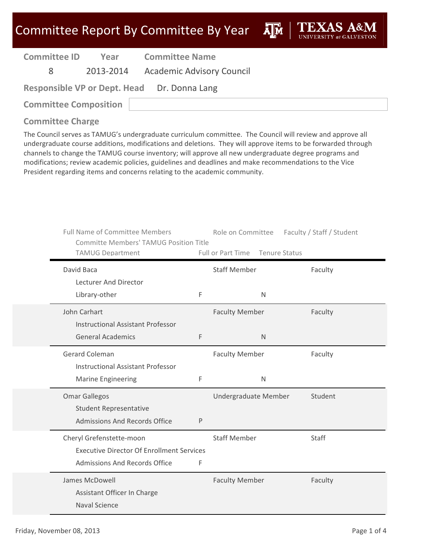**A**M

| <b>Committee ID</b> |  | Yea |
|---------------------|--|-----|
|---------------------|--|-----|

**Year Committee Name**

8 2013‐2014 Academic Advisory Council

| <b>Responsible VP or Dept. Head</b> | Dr. Donna Lang |
|-------------------------------------|----------------|
|-------------------------------------|----------------|

**Committee Composition**

### **Committee Charge**

| <b>Full Name of Committee Members</b><br><b>Committe Members' TAMUG Position Title</b><br><b>TAMUG Department</b> |   | Role on Committee<br>Full or Part Time Tenure Status | Faculty / Staff / Student |
|-------------------------------------------------------------------------------------------------------------------|---|------------------------------------------------------|---------------------------|
| David Baca                                                                                                        |   | <b>Staff Member</b>                                  | Faculty                   |
| Lecturer And Director<br>Library-other                                                                            | F | N                                                    |                           |
| John Carhart<br><b>Instructional Assistant Professor</b>                                                          |   | <b>Faculty Member</b>                                | Faculty                   |
| <b>General Academics</b>                                                                                          | F | N                                                    |                           |
| <b>Gerard Coleman</b><br><b>Instructional Assistant Professor</b>                                                 |   | <b>Faculty Member</b>                                | Faculty                   |
| <b>Marine Engineering</b>                                                                                         | F | N                                                    |                           |
| <b>Omar Gallegos</b><br><b>Student Representative</b>                                                             |   | Undergraduate Member                                 | Student                   |
| <b>Admissions And Records Office</b>                                                                              | P |                                                      |                           |
| Cheryl Grefenstette-moon<br><b>Executive Director Of Enrollment Services</b><br>Admissions And Records Office     | F | <b>Staff Member</b>                                  | Staff                     |
| James McDowell                                                                                                    |   |                                                      |                           |
| Assistant Officer In Charge<br><b>Naval Science</b>                                                               |   | <b>Faculty Member</b>                                | Faculty                   |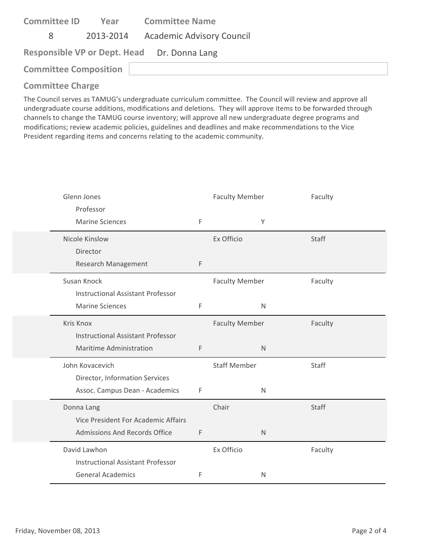| <b>Committee ID</b>          | Year | <b>Committee Name</b>                       |
|------------------------------|------|---------------------------------------------|
| 8                            |      | 2013-2014 Academic Advisory Council         |
|                              |      | Responsible VP or Dept. Head Dr. Donna Lang |
| <b>Committee Composition</b> |      |                                             |
|                              |      |                                             |

| Glenn Jones                              |             | <b>Faculty Member</b> | Faculty |
|------------------------------------------|-------------|-----------------------|---------|
| Professor                                |             |                       |         |
| <b>Marine Sciences</b>                   | F           | Υ                     |         |
| Nicole Kinslow                           |             | Ex Officio            | Staff   |
| Director                                 |             |                       |         |
| Research Management                      | F           |                       |         |
| Susan Knock                              |             | <b>Faculty Member</b> | Faculty |
| <b>Instructional Assistant Professor</b> |             |                       |         |
| <b>Marine Sciences</b>                   | $\mathsf F$ | $\mathsf{N}$          |         |
| <b>Kris Knox</b>                         |             | <b>Faculty Member</b> | Faculty |
| <b>Instructional Assistant Professor</b> |             |                       |         |
| Maritime Administration                  | $\mathsf F$ | $\mathsf{N}$          |         |
| John Kovacevich                          |             | <b>Staff Member</b>   | Staff   |
| Director, Information Services           |             |                       |         |
| Assoc. Campus Dean - Academics           | $\mathsf F$ | $\mathsf{N}$          |         |
| Donna Lang                               |             | Chair                 | Staff   |
| Vice President For Academic Affairs      |             |                       |         |
| <b>Admissions And Records Office</b>     | F           | N                     |         |
| David Lawhon                             |             | Ex Officio            | Faculty |
| <b>Instructional Assistant Professor</b> |             |                       |         |
| <b>General Academics</b>                 | F           | N                     |         |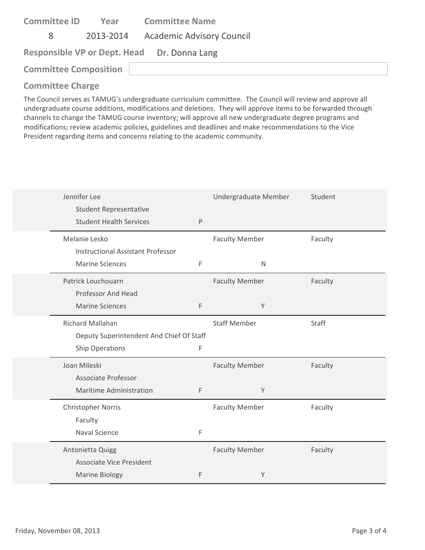| <b>Committee ID</b>          | Year | <b>Committee Name</b>                       |
|------------------------------|------|---------------------------------------------|
| 8                            |      | 2013-2014 Academic Advisory Council         |
|                              |      | Responsible VP or Dept. Head Dr. Donna Lang |
| <b>Committee Composition</b> |      |                                             |
|                              |      |                                             |

| Jennifer Lee<br><b>Student Representative</b> |              | Undergraduate Member  | Student |
|-----------------------------------------------|--------------|-----------------------|---------|
| <b>Student Health Services</b>                | $\mathsf{P}$ |                       |         |
| Melanie Lesko                                 |              | <b>Faculty Member</b> | Faculty |
| <b>Instructional Assistant Professor</b>      |              |                       |         |
| <b>Marine Sciences</b>                        | F            | $\mathsf{N}$          |         |
| Patrick Louchouarn                            |              | <b>Faculty Member</b> | Faculty |
| Professor And Head                            |              |                       |         |
| <b>Marine Sciences</b>                        | F            | Y                     |         |
| Richard Mallahan                              |              | <b>Staff Member</b>   | Staff   |
| Deputy Superintendent And Chief Of Staff      |              |                       |         |
| Ship Operations                               | $\mathsf F$  |                       |         |
| Joan Mileski                                  |              | <b>Faculty Member</b> | Faculty |
| Associate Professor                           |              |                       |         |
| <b>Maritime Administration</b>                | F            | Y                     |         |
| <b>Christopher Norris</b>                     |              | <b>Faculty Member</b> | Faculty |
| Faculty                                       |              |                       |         |
| <b>Naval Science</b>                          | F            |                       |         |
| Antonietta Quigg                              |              | <b>Faculty Member</b> | Faculty |
| <b>Associate Vice President</b>               |              |                       |         |
| <b>Marine Biology</b>                         | F            | Y                     |         |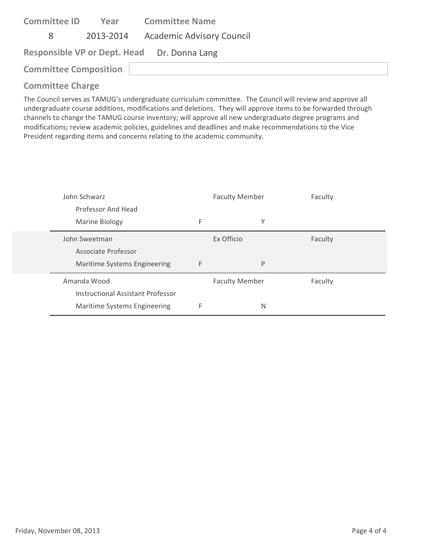| <b>Committee ID</b>          | Year | <b>Committee Name</b>                       |  |
|------------------------------|------|---------------------------------------------|--|
| 8                            |      | 2013-2014 Academic Advisory Council         |  |
|                              |      | Responsible VP or Dept. Head Dr. Donna Lang |  |
| <b>Committee Composition</b> |      |                                             |  |

| John Schwarz                      |   | <b>Faculty Member</b> | Faculty |
|-----------------------------------|---|-----------------------|---------|
| Professor And Head                |   |                       |         |
| Marine Biology                    | F | Υ                     |         |
| John Sweetman                     |   | Ex Officio            | Faculty |
| Associate Professor               |   |                       |         |
| Maritime Systems Engineering      | F | P                     |         |
| Amanda Wood                       |   | <b>Faculty Member</b> | Faculty |
| Instructional Assistant Professor |   |                       |         |
| Maritime Systems Engineering      | F | N                     |         |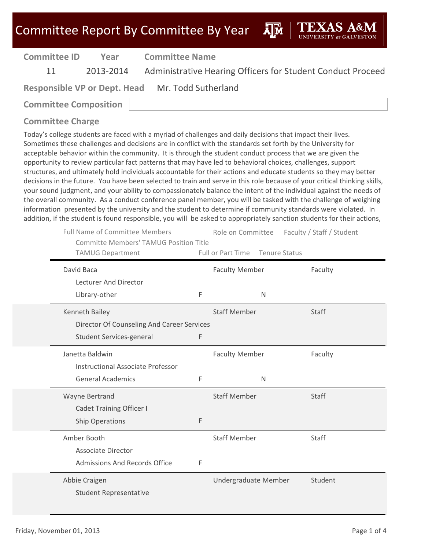| Committee Report By Committee By Year |
|---------------------------------------|
|---------------------------------------|

| <b>Committee ID</b>          | Year | <b>Committee Name</b>                                                 |
|------------------------------|------|-----------------------------------------------------------------------|
| 11                           |      | 2013-2014 Administrative Hearing Officers for Student Conduct Proceed |
|                              |      | Responsible VP or Dept. Head Mr. Todd Sutherland                      |
| <b>Committee Composition</b> |      |                                                                       |

|   | Role on Committee     | Faculty / Staff / Student                                                                                                                |
|---|-----------------------|------------------------------------------------------------------------------------------------------------------------------------------|
|   | <b>Faculty Member</b> | Faculty                                                                                                                                  |
|   |                       |                                                                                                                                          |
| F | $\mathsf{N}$          |                                                                                                                                          |
|   | <b>Staff Member</b>   | Staff                                                                                                                                    |
|   |                       |                                                                                                                                          |
| F |                       |                                                                                                                                          |
|   | <b>Faculty Member</b> | Faculty                                                                                                                                  |
|   |                       |                                                                                                                                          |
| F | N                     |                                                                                                                                          |
|   | <b>Staff Member</b>   | Staff                                                                                                                                    |
|   |                       |                                                                                                                                          |
| F |                       |                                                                                                                                          |
|   | <b>Staff Member</b>   | Staff                                                                                                                                    |
|   |                       |                                                                                                                                          |
| F |                       |                                                                                                                                          |
|   | Undergraduate Member  | Student                                                                                                                                  |
|   |                       |                                                                                                                                          |
|   |                       | <b>Committe Members' TAMUG Position Title</b><br>Full or Part Time<br><b>Tenure Status</b><br>Director Of Counseling And Career Services |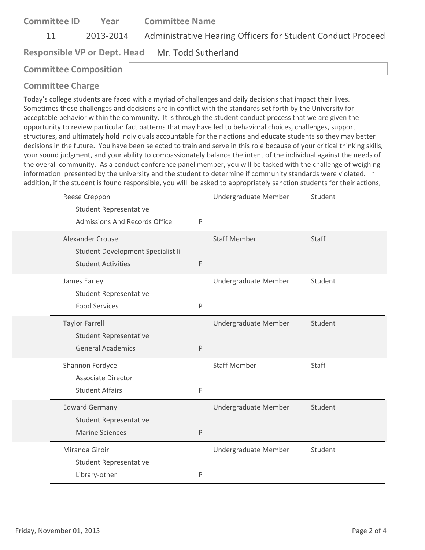| <b>Committee ID</b>          | Year      | <b>Committee Name</b>                                       |
|------------------------------|-----------|-------------------------------------------------------------|
| 11                           | 2013-2014 | Administrative Hearing Officers for Student Conduct Proceed |
|                              |           | Responsible VP or Dept. Head Mr. Todd Sutherland            |
| <b>Committee Composition</b> |           |                                                             |

| Reese Creppon                        |              | Undergraduate Member | Student |
|--------------------------------------|--------------|----------------------|---------|
| <b>Student Representative</b>        |              |                      |         |
| <b>Admissions And Records Office</b> | P            |                      |         |
| Alexander Crouse                     |              | <b>Staff Member</b>  | Staff   |
| Student Development Specialist Ii    |              |                      |         |
| <b>Student Activities</b>            | $\mathsf F$  |                      |         |
| James Earley                         |              | Undergraduate Member | Student |
| <b>Student Representative</b>        |              |                      |         |
| <b>Food Services</b>                 | $\mathsf{P}$ |                      |         |
| <b>Taylor Farrell</b>                |              | Undergraduate Member | Student |
| <b>Student Representative</b>        |              |                      |         |
| <b>General Academics</b>             | $\mathsf{P}$ |                      |         |
| Shannon Fordyce                      |              | <b>Staff Member</b>  | Staff   |
| <b>Associate Director</b>            |              |                      |         |
| <b>Student Affairs</b>               | F            |                      |         |
| <b>Edward Germany</b>                |              | Undergraduate Member | Student |
| <b>Student Representative</b>        |              |                      |         |
| <b>Marine Sciences</b>               | $\mathsf{P}$ |                      |         |
| Miranda Giroir                       |              | Undergraduate Member | Student |
| <b>Student Representative</b>        |              |                      |         |
| Library-other                        | $\mathsf{P}$ |                      |         |
|                                      |              |                      |         |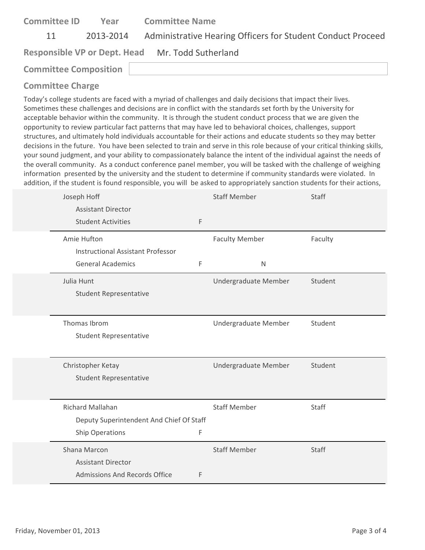| <b>Committee ID</b>          | Year | <b>Committee Name</b>                                                 |
|------------------------------|------|-----------------------------------------------------------------------|
| 11                           |      | 2013-2014 Administrative Hearing Officers for Student Conduct Proceed |
|                              |      | Responsible VP or Dept. Head Mr. Todd Sutherland                      |
| <b>Committee Composition</b> |      |                                                                       |
|                              |      |                                                                       |

| Joseph Hoff                              |   | <b>Staff Member</b>   | Staff   |
|------------------------------------------|---|-----------------------|---------|
| <b>Assistant Director</b>                |   |                       |         |
| <b>Student Activities</b>                | F |                       |         |
| Amie Hufton                              |   | <b>Faculty Member</b> | Faculty |
| <b>Instructional Assistant Professor</b> |   |                       |         |
| <b>General Academics</b>                 | F | $\mathsf{N}$          |         |
| Julia Hunt                               |   | Undergraduate Member  | Student |
| <b>Student Representative</b>            |   |                       |         |
|                                          |   |                       |         |
| Thomas Ibrom                             |   | Undergraduate Member  | Student |
| <b>Student Representative</b>            |   |                       |         |
|                                          |   |                       |         |
| Christopher Ketay                        |   | Undergraduate Member  | Student |
| <b>Student Representative</b>            |   |                       |         |
|                                          |   |                       |         |
| <b>Richard Mallahan</b>                  |   | <b>Staff Member</b>   | Staff   |
| Deputy Superintendent And Chief Of Staff |   |                       |         |
| Ship Operations                          | F |                       |         |
| Shana Marcon                             |   | <b>Staff Member</b>   | Staff   |
| <b>Assistant Director</b>                |   |                       |         |
| Admissions And Records Office            | F |                       |         |
|                                          |   |                       |         |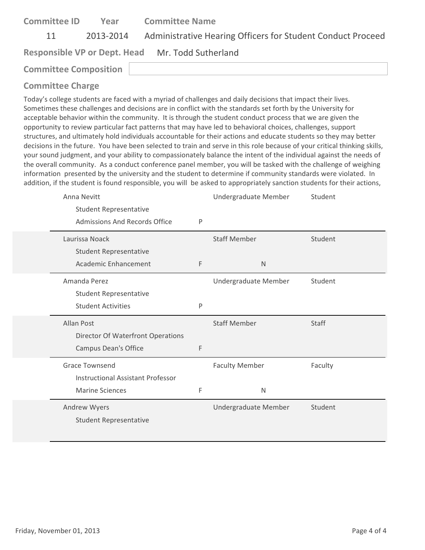| <b>Committee ID</b>          | Year      | <b>Committee Name</b>                                       |
|------------------------------|-----------|-------------------------------------------------------------|
| 11                           | 2013-2014 | Administrative Hearing Officers for Student Conduct Proceed |
|                              |           | Responsible VP or Dept. Head Mr. Todd Sutherland            |
| <b>Committee Composition</b> |           |                                                             |

| Anna Nevitt                              |   | Undergraduate Member  | Student      |
|------------------------------------------|---|-----------------------|--------------|
| <b>Student Representative</b>            |   |                       |              |
| <b>Admissions And Records Office</b>     | P |                       |              |
| Laurissa Noack                           |   | <b>Staff Member</b>   | Student      |
| <b>Student Representative</b>            |   |                       |              |
| Academic Enhancement                     | F | $\mathsf{N}$          |              |
| Amanda Perez                             |   | Undergraduate Member  | Student      |
| <b>Student Representative</b>            |   |                       |              |
| <b>Student Activities</b>                | P |                       |              |
|                                          |   |                       |              |
| <b>Allan Post</b>                        |   | <b>Staff Member</b>   | <b>Staff</b> |
| Director Of Waterfront Operations        |   |                       |              |
| <b>Campus Dean's Office</b>              | F |                       |              |
| <b>Grace Townsend</b>                    |   | <b>Faculty Member</b> | Faculty      |
| <b>Instructional Assistant Professor</b> |   |                       |              |
| <b>Marine Sciences</b>                   | F | N                     |              |
| Andrew Wyers                             |   | Undergraduate Member  | Student      |
| <b>Student Representative</b>            |   |                       |              |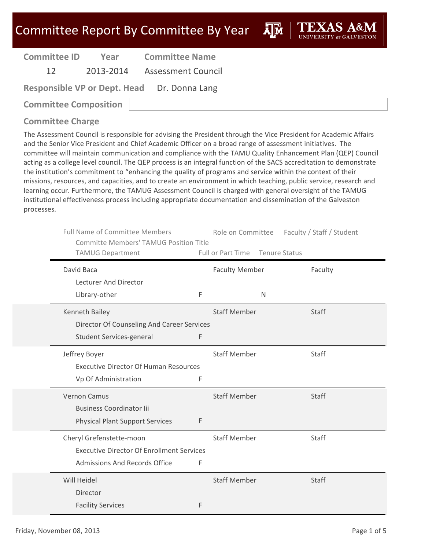ĀlĀ

| <b>Committee ID</b> |
|---------------------|
|---------------------|

**Year Committee Name**

12 2013‐2014 Assessment Council

| <b>Responsible VP or Dept. Head</b> | Dr. Donna Lang |
|-------------------------------------|----------------|
|-------------------------------------|----------------|

**Committee Composition**

### **Committee Charge**

| <b>Full Name of Committee Members</b><br><b>Committe Members' TAMUG Position Title</b><br><b>TAMUG Department</b> |   | Role on Committee<br>Full or Part Time | <b>Tenure Status</b> | Faculty / Staff / Student |
|-------------------------------------------------------------------------------------------------------------------|---|----------------------------------------|----------------------|---------------------------|
| David Baca                                                                                                        |   | <b>Faculty Member</b>                  |                      | Faculty                   |
| Lecturer And Director<br>Library-other                                                                            | F |                                        | $\mathsf{N}$         |                           |
| Kenneth Bailey<br>Director Of Counseling And Career Services                                                      |   | <b>Staff Member</b>                    |                      | Staff                     |
| <b>Student Services-general</b>                                                                                   | F |                                        |                      |                           |
| Jeffrey Boyer<br><b>Executive Director Of Human Resources</b><br>Vp Of Administration                             | F | <b>Staff Member</b>                    |                      | Staff                     |
| <b>Vernon Camus</b><br><b>Business Coordinator lii</b><br><b>Physical Plant Support Services</b>                  | F | <b>Staff Member</b>                    |                      | Staff                     |
| Cheryl Grefenstette-moon<br><b>Executive Director Of Enrollment Services</b><br>Admissions And Records Office     | F | <b>Staff Member</b>                    |                      | Staff                     |
| Will Heidel<br>Director<br><b>Facility Services</b>                                                               | F | <b>Staff Member</b>                    |                      | <b>Staff</b>              |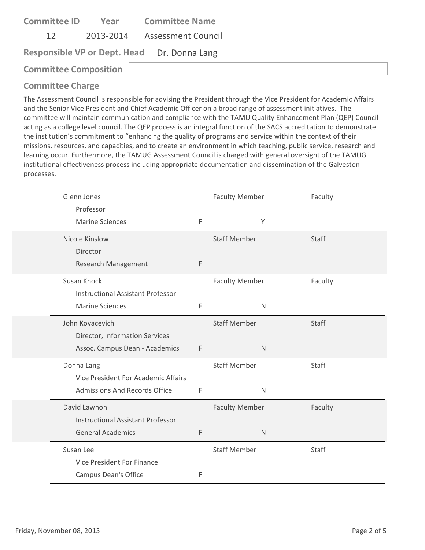| <b>Committee ID</b>          | Year | <b>Committee Name</b>                       |  |
|------------------------------|------|---------------------------------------------|--|
| 12                           |      | 2013-2014 Assessment Council                |  |
|                              |      | Responsible VP or Dept. Head Dr. Donna Lang |  |
| <b>Committee Composition</b> |      |                                             |  |

| Glenn Jones<br>Professor                 |             | <b>Faculty Member</b> | Faculty |
|------------------------------------------|-------------|-----------------------|---------|
| <b>Marine Sciences</b>                   | $\mathsf F$ | Y                     |         |
| Nicole Kinslow                           |             | <b>Staff Member</b>   | Staff   |
| Director                                 |             |                       |         |
| Research Management                      | $\mathsf F$ |                       |         |
| Susan Knock                              |             | <b>Faculty Member</b> | Faculty |
| <b>Instructional Assistant Professor</b> |             |                       |         |
| <b>Marine Sciences</b>                   | F           | N                     |         |
| John Kovacevich                          |             | <b>Staff Member</b>   | Staff   |
| Director, Information Services           |             |                       |         |
| Assoc. Campus Dean - Academics           | F           | $\mathsf{N}$          |         |
| Donna Lang                               |             | <b>Staff Member</b>   | Staff   |
| Vice President For Academic Affairs      |             |                       |         |
| <b>Admissions And Records Office</b>     | F           | N                     |         |
| David Lawhon                             |             | <b>Faculty Member</b> | Faculty |
| <b>Instructional Assistant Professor</b> |             |                       |         |
| <b>General Academics</b>                 | F           | $\mathsf{N}$          |         |
| Susan Lee                                |             | <b>Staff Member</b>   | Staff   |
| <b>Vice President For Finance</b>        |             |                       |         |
| <b>Campus Dean's Office</b>              | F           |                       |         |
|                                          |             |                       |         |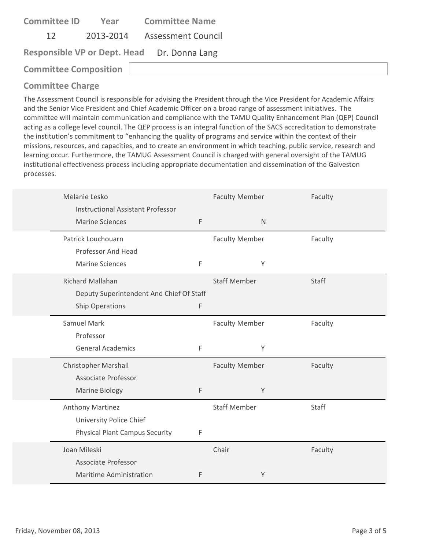| <b>Committee ID</b><br>Year                 | <b>Committee Name</b> |
|---------------------------------------------|-----------------------|
| 2013-2014 Assessment Council<br>12          |                       |
| Responsible VP or Dept. Head Dr. Donna Lang |                       |
| <b>Committee Composition</b>                |                       |

| Melanie Lesko | <b>Instructional Assistant Professor</b> |   | <b>Faculty Member</b> |              | Faculty |
|---------------|------------------------------------------|---|-----------------------|--------------|---------|
|               | <b>Marine Sciences</b>                   | F |                       | $\mathsf{N}$ |         |
|               | Patrick Louchouarn                       |   | <b>Faculty Member</b> |              | Faculty |
|               | Professor And Head                       |   |                       |              |         |
|               | <b>Marine Sciences</b>                   | F |                       | Y            |         |
|               | Richard Mallahan                         |   | <b>Staff Member</b>   |              | Staff   |
|               | Deputy Superintendent And Chief Of Staff |   |                       |              |         |
|               | <b>Ship Operations</b>                   | F |                       |              |         |
| Samuel Mark   |                                          |   | <b>Faculty Member</b> |              | Faculty |
|               | Professor                                |   |                       |              |         |
|               | <b>General Academics</b>                 | F |                       | Υ            |         |
|               | <b>Christopher Marshall</b>              |   | <b>Faculty Member</b> |              | Faculty |
|               | Associate Professor                      |   |                       |              |         |
|               | <b>Marine Biology</b>                    | F |                       | Y            |         |
|               | Anthony Martinez                         |   | <b>Staff Member</b>   |              | Staff   |
|               | University Police Chief                  |   |                       |              |         |
|               | <b>Physical Plant Campus Security</b>    | F |                       |              |         |
| Joan Mileski  |                                          |   | Chair                 |              | Faculty |
|               | <b>Associate Professor</b>               |   |                       |              |         |
|               | Maritime Administration                  | F |                       | Y            |         |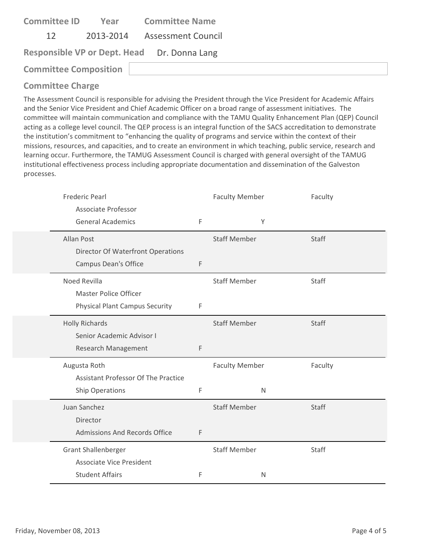| <b>Committee ID</b>          | Year | <b>Committee Name</b>                       |  |
|------------------------------|------|---------------------------------------------|--|
| 12                           |      | 2013-2014 Assessment Council                |  |
|                              |      | Responsible VP or Dept. Head Dr. Donna Lang |  |
| <b>Committee Composition</b> |      |                                             |  |

| Frederic Pearl                                  |             | <b>Faculty Member</b> |              | Faculty |
|-------------------------------------------------|-------------|-----------------------|--------------|---------|
| Associate Professor<br><b>General Academics</b> | $\mathsf F$ |                       | Y            |         |
| Allan Post                                      |             | <b>Staff Member</b>   |              | Staff   |
| <b>Director Of Waterfront Operations</b>        |             |                       |              |         |
| <b>Campus Dean's Office</b>                     | F           |                       |              |         |
| Noed Revilla                                    |             | <b>Staff Member</b>   |              | Staff   |
| <b>Master Police Officer</b>                    |             |                       |              |         |
| <b>Physical Plant Campus Security</b>           | F           |                       |              |         |
| <b>Holly Richards</b>                           |             | <b>Staff Member</b>   |              | Staff   |
| Senior Academic Advisor I                       |             |                       |              |         |
| Research Management                             | F           |                       |              |         |
| Augusta Roth                                    |             | <b>Faculty Member</b> |              | Faculty |
| <b>Assistant Professor Of The Practice</b>      |             |                       |              |         |
| Ship Operations                                 | F           |                       | $\mathsf{N}$ |         |
| Juan Sanchez                                    |             | <b>Staff Member</b>   |              | Staff   |
| Director                                        |             |                       |              |         |
| Admissions And Records Office                   | F           |                       |              |         |
| <b>Grant Shallenberger</b>                      |             | <b>Staff Member</b>   |              | Staff   |
| <b>Associate Vice President</b>                 |             |                       |              |         |
| <b>Student Affairs</b>                          | F           |                       | $\mathsf{N}$ |         |
|                                                 |             |                       |              |         |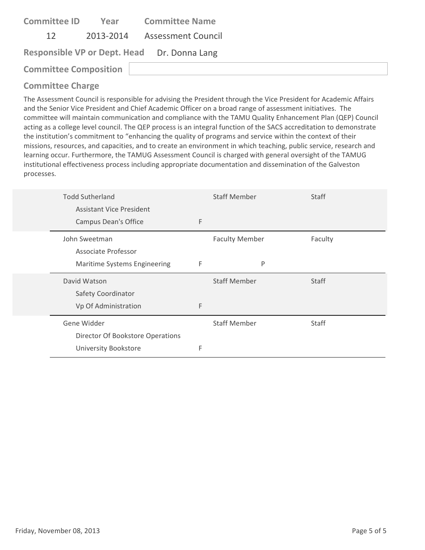| <b>Committee ID</b>          | Year | <b>Committee Name</b>                       |  |
|------------------------------|------|---------------------------------------------|--|
| 12                           |      | 2013-2014 Assessment Council                |  |
|                              |      | Responsible VP or Dept. Head Dr. Donna Lang |  |
| <b>Committee Composition</b> |      |                                             |  |

| <b>Todd Sutherland</b>           |   | <b>Staff Member</b>   | <b>Staff</b> |
|----------------------------------|---|-----------------------|--------------|
| <b>Assistant Vice President</b>  |   |                       |              |
| <b>Campus Dean's Office</b>      | F |                       |              |
| John Sweetman                    |   | <b>Faculty Member</b> | Faculty      |
| Associate Professor              |   |                       |              |
| Maritime Systems Engineering     | F | P                     |              |
|                                  |   |                       |              |
| David Watson                     |   | <b>Staff Member</b>   | <b>Staff</b> |
| Safety Coordinator               |   |                       |              |
| Vp Of Administration             | F |                       |              |
| Gene Widder                      |   | <b>Staff Member</b>   | <b>Staff</b> |
| Director Of Bookstore Operations |   |                       |              |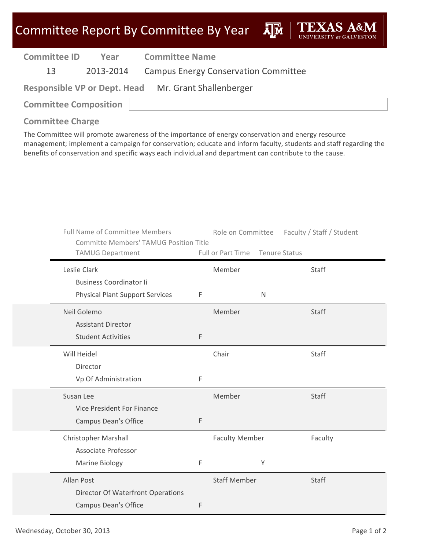**A**<sub>M</sub>

| <b>Committee ID</b> | Year | <b>Committee Name</b>                                |
|---------------------|------|------------------------------------------------------|
| 13                  |      | 2013-2014 Campus Energy Conservation Committee       |
|                     |      | Responsible VP or Dept. Head Mr. Grant Shallenberger |

**Committee Composition**

**Committee Charge**

The Committee will promote awareness of the importance of energy conservation and energy resource management; implement a campaign for conservation; educate and inform faculty, students and staff regarding the benefits of conservation and specific ways each individual and department can contribute to the cause.

| <b>Full Name of Committee Members</b><br><b>Committe Members' TAMUG Position Title</b> |   | Role on Committee     | Faculty / Staff / Student |
|----------------------------------------------------------------------------------------|---|-----------------------|---------------------------|
| <b>TAMUG Department</b>                                                                |   | Full or Part Time     | Tenure Status             |
| Leslie Clark                                                                           |   | Member                | Staff                     |
| <b>Business Coordinator li</b>                                                         |   |                       |                           |
| <b>Physical Plant Support Services</b>                                                 | F | N                     |                           |
| Neil Golemo                                                                            |   | Member                | Staff                     |
| <b>Assistant Director</b>                                                              |   |                       |                           |
| <b>Student Activities</b>                                                              | F |                       |                           |
| Will Heidel                                                                            |   | Chair                 | Staff                     |
| Director                                                                               |   |                       |                           |
| Vp Of Administration                                                                   | F |                       |                           |
| Susan Lee                                                                              |   | Member                | Staff                     |
| Vice President For Finance                                                             |   |                       |                           |
| <b>Campus Dean's Office</b>                                                            | F |                       |                           |
| <b>Christopher Marshall</b>                                                            |   | <b>Faculty Member</b> | Faculty                   |
| Associate Professor                                                                    |   |                       |                           |
| <b>Marine Biology</b>                                                                  | F | Υ                     |                           |
| <b>Allan Post</b>                                                                      |   | <b>Staff Member</b>   | <b>Staff</b>              |
| Director Of Waterfront Operations                                                      |   |                       |                           |
| <b>Campus Dean's Office</b>                                                            | F |                       |                           |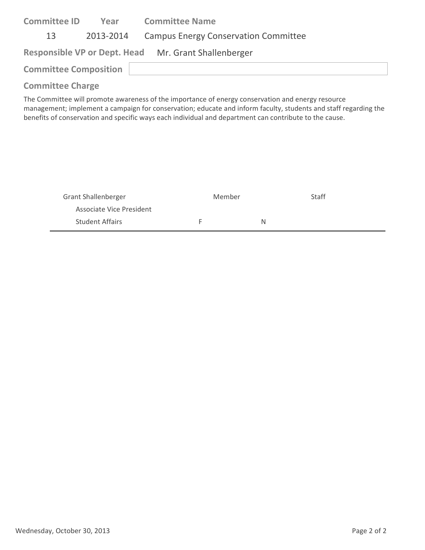| <b>Committee ID</b>          | Year      | <b>Committee Name</b>                                |
|------------------------------|-----------|------------------------------------------------------|
| 13                           | 2013-2014 | <b>Campus Energy Conservation Committee</b>          |
|                              |           | Responsible VP or Dept. Head Mr. Grant Shallenberger |
| <b>Committee Composition</b> |           |                                                      |
| <b>Committee Charge</b>      |           |                                                      |

The Committee will promote awareness of the importance of energy conservation and energy resource management; implement a campaign for conservation; educate and inform faculty, students and staff regarding the benefits of conservation and specific ways each individual and department can contribute to the cause.

| <b>Grant Shallenberger</b> | Member | Staff |
|----------------------------|--------|-------|
| Associate Vice President   |        |       |
| <b>Student Affairs</b>     | н.     |       |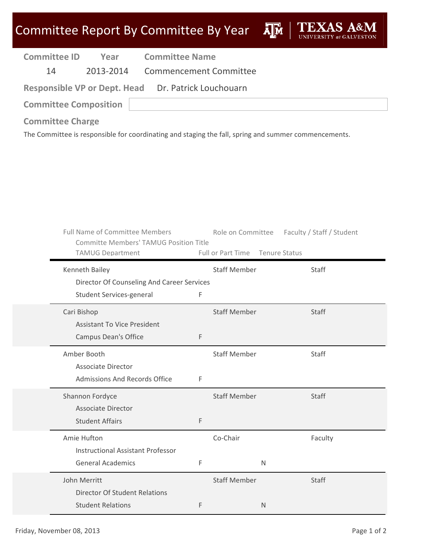| <b>Committee ID</b>          | Year | <b>Committee Name</b>                               |
|------------------------------|------|-----------------------------------------------------|
| 14                           |      | 2013-2014 Commencement Committee                    |
|                              |      | Responsible VP or Dept. Head Dr. Patrick Louchouarn |
| <b>Committee Composition</b> |      |                                                     |
|                              |      |                                                     |

### **Committee Charge**

The Committee is responsible for coordinating and staging the fall, spring and summer commencements.

| <b>Full Name of Committee Members</b><br>Committe Members' TAMUG Position Title<br><b>TAMUG Department</b> |   | Role on Committee Faculty / Staff / Student<br>Full or Part Time Tenure Status |         |
|------------------------------------------------------------------------------------------------------------|---|--------------------------------------------------------------------------------|---------|
| Kenneth Bailey                                                                                             |   | <b>Staff Member</b>                                                            | Staff   |
| Director Of Counseling And Career Services<br>Student Services-general                                     | F |                                                                                |         |
| Cari Bishop<br><b>Assistant To Vice President</b>                                                          |   | <b>Staff Member</b>                                                            | Staff   |
| Campus Dean's Office                                                                                       | F |                                                                                |         |
| Amber Booth<br><b>Associate Director</b>                                                                   |   | <b>Staff Member</b>                                                            | Staff   |
| <b>Admissions And Records Office</b>                                                                       | F |                                                                                |         |
| Shannon Fordyce<br><b>Associate Director</b>                                                               |   | <b>Staff Member</b>                                                            | Staff   |
| <b>Student Affairs</b>                                                                                     | F |                                                                                |         |
| Amie Hufton<br><b>Instructional Assistant Professor</b>                                                    |   | Co-Chair                                                                       | Faculty |
| <b>General Academics</b>                                                                                   | F | $\mathsf{N}$                                                                   |         |
| John Merritt                                                                                               |   | <b>Staff Member</b>                                                            | Staff   |
| <b>Director Of Student Relations</b>                                                                       |   |                                                                                |         |
| <b>Student Relations</b>                                                                                   | F | $\mathsf{N}$                                                                   |         |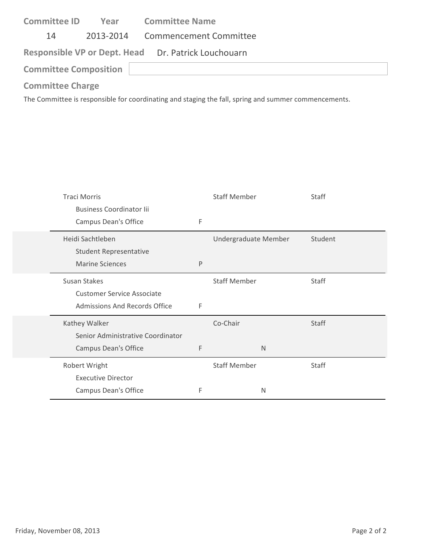| <b>Committee ID</b>          | Year | <b>Committee Name</b>                               |
|------------------------------|------|-----------------------------------------------------|
| 14                           |      | 2013-2014 Commencement Committee                    |
|                              |      | Responsible VP or Dept. Head Dr. Patrick Louchouarn |
| <b>Committee Composition</b> |      |                                                     |
| <b>Committee Charge</b>      |      |                                                     |

The Committee is responsible for coordinating and staging the fall, spring and summer commencements.

| <b>Traci Morris</b>                  |   | <b>Staff Member</b>  |              | Staff        |
|--------------------------------------|---|----------------------|--------------|--------------|
| <b>Business Coordinator lii</b>      |   |                      |              |              |
| Campus Dean's Office                 | F |                      |              |              |
| Heidi Sachtleben                     |   | Undergraduate Member |              | Student      |
| <b>Student Representative</b>        |   |                      |              |              |
| <b>Marine Sciences</b>               | P |                      |              |              |
| Susan Stakes                         |   | <b>Staff Member</b>  |              | Staff        |
| <b>Customer Service Associate</b>    |   |                      |              |              |
| <b>Admissions And Records Office</b> | F |                      |              |              |
| Kathey Walker                        |   | Co-Chair             |              | Staff        |
| Senior Administrative Coordinator    |   |                      |              |              |
| Campus Dean's Office                 | F |                      | $\mathsf{N}$ |              |
| Robert Wright                        |   | <b>Staff Member</b>  |              | <b>Staff</b> |
| <b>Executive Director</b>            |   |                      |              |              |
| Campus Dean's Office                 | F |                      | N            |              |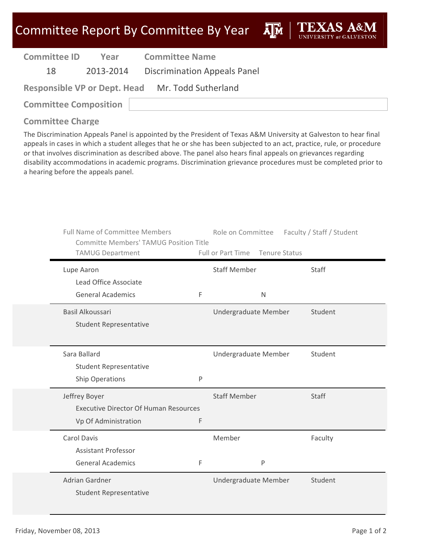ĀĪЙ

| <b>Committee ID</b> | Year |
|---------------------|------|
|                     |      |

**Year Committee Name**

18 2013‐2014 Discrimination Appeals Panel

**Responsible VP or Dept. Head** Mr. Todd Sutherland

**Committee Composition**

### **Committee Charge**

The Discrimination Appeals Panel is appointed by the President of Texas A&M University at Galveston to hear final appeals in cases in which a student alleges that he or she has been subjected to an act, practice, rule, or procedure or that involves discrimination as described above. The panel also hears final appeals on grievances regarding disability accommodations in academic programs. Discrimination grievance procedures must be completed prior to a hearing before the appeals panel.

| <b>Full Name of Committee Members</b><br><b>Committe Members' TAMUG Position Title</b><br><b>TAMUG Department</b> |   | Role on Committee<br>Full or Part Time Tenure Status | Faculty / Staff / Student |
|-------------------------------------------------------------------------------------------------------------------|---|------------------------------------------------------|---------------------------|
| Lupe Aaron<br>Lead Office Associate                                                                               |   | <b>Staff Member</b>                                  | <b>Staff</b>              |
| <b>General Academics</b>                                                                                          | F | $\mathsf{N}$                                         |                           |
| Basil Alkoussari<br><b>Student Representative</b>                                                                 |   | Undergraduate Member                                 | Student                   |
| Sara Ballard<br><b>Student Representative</b>                                                                     |   | Undergraduate Member                                 | Student                   |
| <b>Ship Operations</b>                                                                                            | P |                                                      |                           |
| Jeffrey Boyer<br><b>Executive Director Of Human Resources</b><br>Vp Of Administration                             | F | <b>Staff Member</b>                                  | Staff                     |
| <b>Carol Davis</b><br><b>Assistant Professor</b>                                                                  |   | Member                                               | Faculty                   |
| <b>General Academics</b>                                                                                          | F | P                                                    |                           |
| Adrian Gardner<br><b>Student Representative</b>                                                                   |   | Undergraduate Member                                 | Student                   |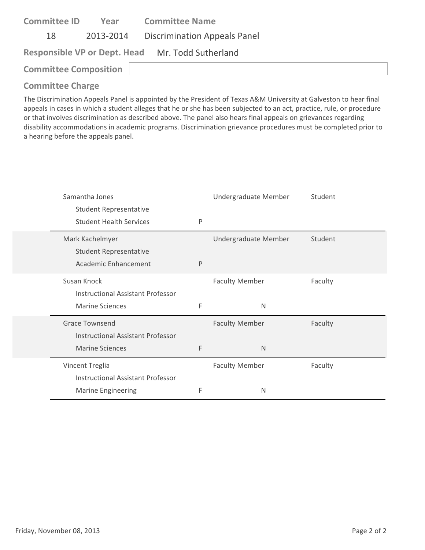| <b>Committee ID</b>                              | Year | <b>Committee Name</b>                  |
|--------------------------------------------------|------|----------------------------------------|
| 18                                               |      | 2013-2014 Discrimination Appeals Panel |
| Responsible VP or Dept. Head Mr. Todd Sutherland |      |                                        |
| <b>Committee Composition</b>                     |      |                                        |

The Discrimination Appeals Panel is appointed by the President of Texas A&M University at Galveston to hear final appeals in cases in which a student alleges that he or she has been subjected to an act, practice, rule, or procedure or that involves discrimination as described above. The panel also hears final appeals on grievances regarding disability accommodations in academic programs. Discrimination grievance procedures must be completed prior to a hearing before the appeals panel.

| Samantha Jones                           |              | Undergraduate Member  | Student |
|------------------------------------------|--------------|-----------------------|---------|
| <b>Student Representative</b>            |              |                       |         |
| <b>Student Health Services</b>           | P            |                       |         |
| Mark Kachelmyer                          |              | Undergraduate Member  | Student |
| <b>Student Representative</b>            |              |                       |         |
| Academic Enhancement                     | $\mathsf{P}$ |                       |         |
| Susan Knock                              |              | <b>Faculty Member</b> | Faculty |
| <b>Instructional Assistant Professor</b> |              |                       |         |
| <b>Marine Sciences</b>                   | F            | N                     |         |
| <b>Grace Townsend</b>                    |              | <b>Faculty Member</b> | Faculty |
| <b>Instructional Assistant Professor</b> |              |                       |         |
| <b>Marine Sciences</b>                   | F            | N                     |         |
| Vincent Treglia                          |              | <b>Faculty Member</b> | Faculty |
| Instructional Assistant Professor        |              |                       |         |
| <b>Marine Engineering</b>                | F            | N                     |         |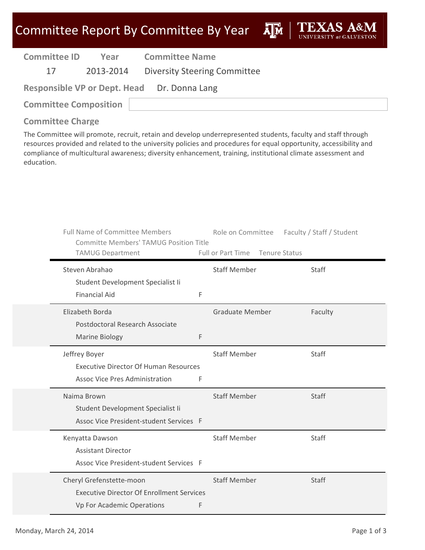ДÑ

| <b>Committee ID</b> | Year      | <b>Committee Name</b>               |
|---------------------|-----------|-------------------------------------|
|                     | 2013-2014 | <b>Diversity Steering Committee</b> |

**Committee Composition**

# **Committee Charge**

The Committee will promote, recruit, retain and develop underrepresented students, faculty and staff through resources provided and related to the university policies and procedures for equal opportunity, accessibility and compliance of multicultural awareness; diversity enhancement, training, institutional climate assessment and education.

| <b>Full Name of Committee Members</b><br><b>Committe Members' TAMUG Position Title</b><br><b>TAMUG Department</b> | Role on Committee<br>Full or Part Time Tenure Status | Faculty / Staff / Student |
|-------------------------------------------------------------------------------------------------------------------|------------------------------------------------------|---------------------------|
| Steven Abrahao<br>Student Development Specialist Ii                                                               | <b>Staff Member</b>                                  | <b>Staff</b>              |
| <b>Financial Aid</b><br>F                                                                                         |                                                      |                           |
| Elizabeth Borda<br>Postdoctoral Research Associate                                                                | <b>Graduate Member</b>                               | Faculty                   |
| F<br><b>Marine Biology</b>                                                                                        |                                                      |                           |
| Jeffrey Boyer<br><b>Executive Director Of Human Resources</b><br><b>Assoc Vice Pres Administration</b><br>F       | <b>Staff Member</b>                                  | Staff                     |
| Naima Brown<br>Student Development Specialist Ii<br>Assoc Vice President-student Services F                       | <b>Staff Member</b>                                  | Staff                     |
| Kenyatta Dawson<br><b>Assistant Director</b><br>Assoc Vice President-student Services F                           | <b>Staff Member</b>                                  | Staff                     |
| Cheryl Grefenstette-moon<br><b>Executive Director Of Enrollment Services</b><br>Vp For Academic Operations<br>F   | <b>Staff Member</b>                                  | Staff                     |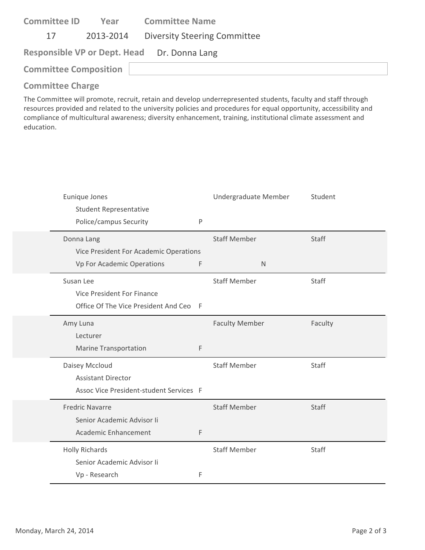| <b>Committee ID</b>          | Year      | <b>Committee Name</b>                       |
|------------------------------|-----------|---------------------------------------------|
| 17                           | 2013-2014 | <b>Diversity Steering Committee</b>         |
|                              |           | Responsible VP or Dept. Head Dr. Donna Lang |
| <b>Committee Composition</b> |           |                                             |
|                              |           |                                             |

The Committee will promote, recruit, retain and develop underrepresented students, faculty and staff through resources provided and related to the university policies and procedures for equal opportunity, accessibility and compliance of multicultural awareness; diversity enhancement, training, institutional climate assessment and education.

| Eunique Jones                           |     | Undergraduate Member  | Student      |
|-----------------------------------------|-----|-----------------------|--------------|
| <b>Student Representative</b>           |     |                       |              |
| Police/campus Security                  | P   |                       |              |
| Donna Lang                              |     | <b>Staff Member</b>   | <b>Staff</b> |
| Vice President For Academic Operations  |     |                       |              |
| Vp For Academic Operations              | F   | N                     |              |
| Susan Lee                               |     | <b>Staff Member</b>   | <b>Staff</b> |
| Vice President For Finance              |     |                       |              |
| Office Of The Vice President And Ceo    | - F |                       |              |
| Amy Luna                                |     | <b>Faculty Member</b> | Faculty      |
| Lecturer                                |     |                       |              |
| <b>Marine Transportation</b>            | F   |                       |              |
| Daisey Mccloud                          |     | <b>Staff Member</b>   | Staff        |
| <b>Assistant Director</b>               |     |                       |              |
| Assoc Vice President-student Services F |     |                       |              |
| <b>Fredric Navarre</b>                  |     | <b>Staff Member</b>   | Staff        |
| Senior Academic Advisor Ii              |     |                       |              |
| Academic Enhancement                    | F   |                       |              |
| <b>Holly Richards</b>                   |     | <b>Staff Member</b>   | Staff        |
| Senior Academic Advisor Ii              |     |                       |              |
| Vp - Research                           | F   |                       |              |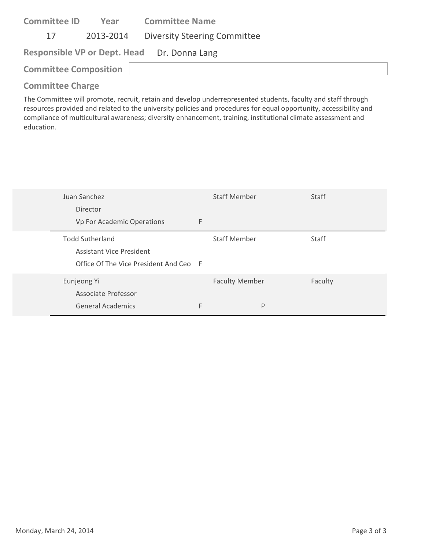| <b>Committee ID</b>                         | Year      | <b>Committee Name</b>               |  |  |
|---------------------------------------------|-----------|-------------------------------------|--|--|
| 17                                          | 2013-2014 | <b>Diversity Steering Committee</b> |  |  |
| Responsible VP or Dept. Head Dr. Donna Lang |           |                                     |  |  |
| <b>Committee Composition</b>                |           |                                     |  |  |
|                                             |           |                                     |  |  |

The Committee will promote, recruit, retain and develop underrepresented students, faculty and staff through resources provided and related to the university policies and procedures for equal opportunity, accessibility and compliance of multicultural awareness; diversity enhancement, training, institutional climate assessment and education.

| Juan Sanchez                                              |   | <b>Staff Member</b>   | <b>Staff</b> |
|-----------------------------------------------------------|---|-----------------------|--------------|
| Director<br>Vp For Academic Operations                    | F |                       |              |
| <b>Todd Sutherland</b><br><b>Assistant Vice President</b> |   | <b>Staff Member</b>   | Staff        |
| Office Of The Vice President And Ceo F                    |   |                       |              |
| Eunjeong Yi<br><b>Associate Professor</b>                 |   | <b>Faculty Member</b> | Faculty      |
| <b>General Academics</b>                                  | F | P                     |              |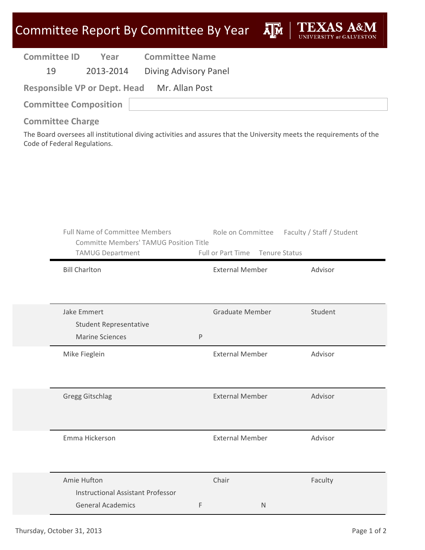| <b>Committee ID</b> | Year      | <b>Committee Name</b> |
|---------------------|-----------|-----------------------|
| 19                  | 2013-2014 | Diving Advisory Panel |

| <b>Responsible VP or Dept. Head</b> | Mr. Allan Post |
|-------------------------------------|----------------|
| <b>Committee Composition</b>        |                |

**Committee Charge**

The Board oversees all institutional diving activities and assures that the University meets the requirements of the Code of Federal Regulations.

| <b>Full Name of Committee Members</b><br><b>Committe Members' TAMUG Position Title</b><br><b>TAMUG Department</b> |         | Full or Part Time Tenure Status | Role on Committee Faculty / Staff / Student |
|-------------------------------------------------------------------------------------------------------------------|---------|---------------------------------|---------------------------------------------|
| <b>Bill Charlton</b>                                                                                              |         | <b>External Member</b>          | Advisor                                     |
| Jake Emmert<br><b>Student Representative</b><br><b>Marine Sciences</b>                                            | $\sf P$ | <b>Graduate Member</b>          | Student                                     |
| Mike Fieglein                                                                                                     |         | <b>External Member</b>          | Advisor                                     |
| <b>Gregg Gitschlag</b>                                                                                            |         | <b>External Member</b>          | Advisor                                     |
| Emma Hickerson                                                                                                    |         | <b>External Member</b>          | Advisor                                     |
| Amie Hufton<br><b>Instructional Assistant Professor</b><br><b>General Academics</b>                               | F       | Chair<br>N                      | Faculty                                     |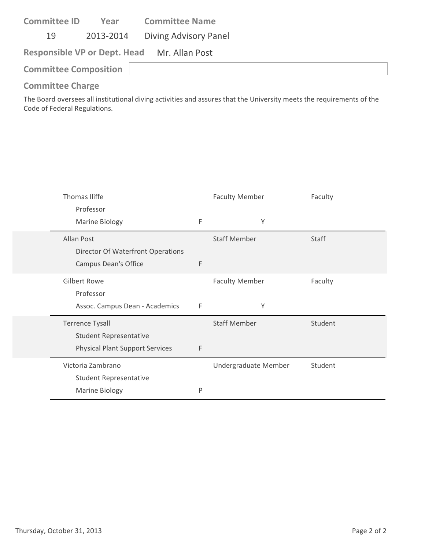| <b>Committee ID</b>          | Year | <b>Committee Name</b>                       |
|------------------------------|------|---------------------------------------------|
| 19                           |      | 2013-2014 Diving Advisory Panel             |
|                              |      | Responsible VP or Dept. Head Mr. Allan Post |
| <b>Committee Composition</b> |      |                                             |

The Board oversees all institutional diving activities and assures that the University meets the requirements of the Code of Federal Regulations.

| Thomas Iliffe                          |   | <b>Faculty Member</b> | Faculty      |
|----------------------------------------|---|-----------------------|--------------|
| Professor                              |   |                       |              |
| <b>Marine Biology</b>                  | F | Υ                     |              |
| Allan Post                             |   | <b>Staff Member</b>   | <b>Staff</b> |
| Director Of Waterfront Operations      |   |                       |              |
| Campus Dean's Office                   | F |                       |              |
| <b>Gilbert Rowe</b>                    |   | <b>Faculty Member</b> | Faculty      |
| Professor                              |   |                       |              |
| Assoc. Campus Dean - Academics         | F | Υ                     |              |
| <b>Terrence Tysall</b>                 |   | <b>Staff Member</b>   | Student      |
| <b>Student Representative</b>          |   |                       |              |
| <b>Physical Plant Support Services</b> | F |                       |              |
| Victoria Zambrano                      |   | Undergraduate Member  | Student      |
| <b>Student Representative</b>          |   |                       |              |
| <b>Marine Biology</b>                  | P |                       |              |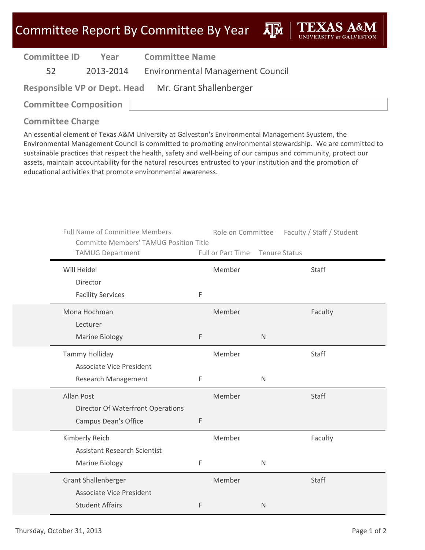**A**M

| <b>Committee ID</b> | Year |
|---------------------|------|
|                     |      |

**Year Committee Name**

52 2013‐2014 Environmental Management Council

**Responsible VP or Dept. Head** Mr. Grant Shallenberger

**Committee Composition**

# **Committee Charge**

An essential element of Texas A&M University at Galveston's Environmental Management Syustem, the Environmental Management Council is committed to promoting environmental stewardship. We are committed to sustainable practices that respect the health, safety and well‐being of our campus and community, protect our assets, maintain accountability for the natural resources entrusted to your institution and the promotion of educational activities that promote environmental awareness.

| <b>Full Name of Committee Members</b><br><b>Committe Members' TAMUG Position Title</b> |   | Role on Committee |               | Faculty / Staff / Student |
|----------------------------------------------------------------------------------------|---|-------------------|---------------|---------------------------|
| <b>TAMUG Department</b>                                                                |   | Full or Part Time | Tenure Status |                           |
| Will Heidel                                                                            |   | Member            |               | Staff                     |
| Director                                                                               |   |                   |               |                           |
| <b>Facility Services</b>                                                               | F |                   |               |                           |
| Mona Hochman                                                                           |   | Member            |               | Faculty                   |
| Lecturer                                                                               |   |                   |               |                           |
| <b>Marine Biology</b>                                                                  | F |                   | $\mathsf{N}$  |                           |
| <b>Tammy Holliday</b>                                                                  |   | Member            |               | Staff                     |
| <b>Associate Vice President</b>                                                        |   |                   |               |                           |
| Research Management                                                                    | F |                   | N             |                           |
| Allan Post                                                                             |   | Member            |               | Staff                     |
| <b>Director Of Waterfront Operations</b>                                               |   |                   |               |                           |
| Campus Dean's Office                                                                   | F |                   |               |                           |
| Kimberly Reich                                                                         |   | Member            |               | Faculty                   |
| <b>Assistant Research Scientist</b>                                                    |   |                   |               |                           |
| Marine Biology                                                                         | F |                   | N             |                           |
| <b>Grant Shallenberger</b>                                                             |   | Member            |               | Staff                     |
| <b>Associate Vice President</b>                                                        |   |                   |               |                           |
| <b>Student Affairs</b>                                                                 | F |                   | $\mathsf{N}$  |                           |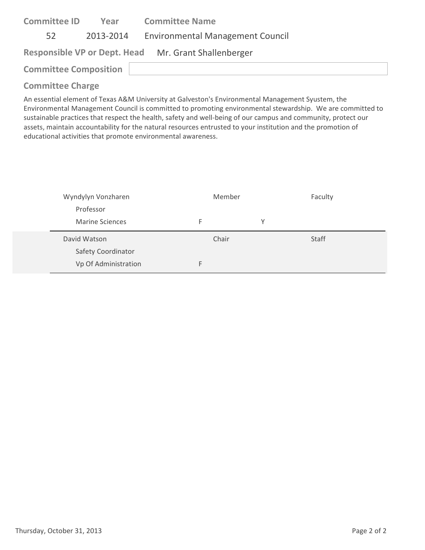| <b>Committee ID</b>          | Year | <b>Committee Name</b>                                |
|------------------------------|------|------------------------------------------------------|
| 52                           |      | 2013-2014 Environmental Management Council           |
|                              |      | Responsible VP or Dept. Head Mr. Grant Shallenberger |
| <b>Committee Composition</b> |      |                                                      |
| Committee Channel            |      |                                                      |

An essential element of Texas A&M University at Galveston's Environmental Management Syustem, the Environmental Management Council is committed to promoting environmental stewardship. We are committed to sustainable practices that respect the health, safety and well‐being of our campus and community, protect our assets, maintain accountability for the natural resources entrusted to your institution and the promotion of educational activities that promote environmental awareness.

| Wyndylyn Vonzharen     | Member |   | Faculty |  |
|------------------------|--------|---|---------|--|
| Professor              |        |   |         |  |
| <b>Marine Sciences</b> | F      | v |         |  |
|                        |        |   |         |  |
| David Watson           | Chair  |   | Staff   |  |
| Safety Coordinator     |        |   |         |  |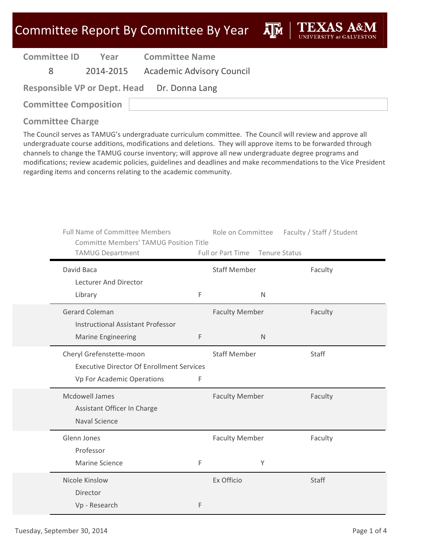**A**M

**Committee ID**

**Year Committee Name**

8 2014‐2015 Academic Advisory Council

| <b>Responsible VP or Dept. Head</b> | Dr. Donna Lang |
|-------------------------------------|----------------|
|-------------------------------------|----------------|

**Committee Composition**

### **Committee Charge**

| <b>Full Name of Committee Members</b><br><b>Committe Members' TAMUG Position Title</b>                     |   | Role on Committee                        |                      | Faculty / Staff / Student |
|------------------------------------------------------------------------------------------------------------|---|------------------------------------------|----------------------|---------------------------|
| <b>TAMUG Department</b><br>David Baca                                                                      |   | Full or Part Time<br><b>Staff Member</b> | <b>Tenure Status</b> | Faculty                   |
| Lecturer And Director<br>Library                                                                           | F | N                                        |                      |                           |
| <b>Gerard Coleman</b><br><b>Instructional Assistant Professor</b>                                          |   | <b>Faculty Member</b>                    |                      | Faculty                   |
| <b>Marine Engineering</b>                                                                                  | F | N                                        |                      |                           |
| Cheryl Grefenstette-moon<br><b>Executive Director Of Enrollment Services</b><br>Vp For Academic Operations | F | <b>Staff Member</b>                      |                      | Staff                     |
| Mcdowell James<br>Assistant Officer In Charge<br><b>Naval Science</b>                                      |   | <b>Faculty Member</b>                    |                      | Faculty                   |
| Glenn Jones<br>Professor                                                                                   |   | <b>Faculty Member</b>                    |                      | Faculty                   |
| Marine Science                                                                                             | F | Y                                        |                      |                           |
| Nicole Kinslow<br>Director<br>Vp - Research                                                                | F | Ex Officio                               |                      | Staff                     |
|                                                                                                            |   |                                          |                      |                           |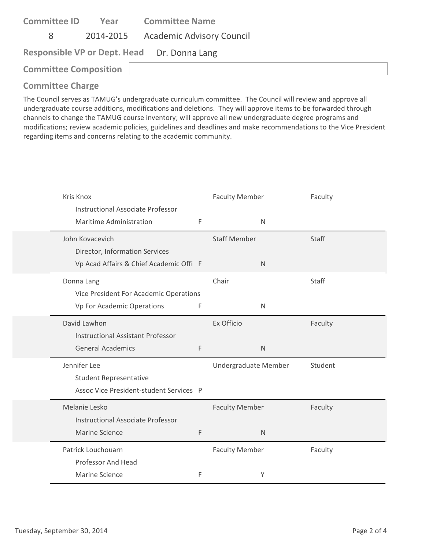| <b>Committee ID</b>          | Year | <b>Committee Name</b>                       |
|------------------------------|------|---------------------------------------------|
| 8                            |      | 2014-2015 Academic Advisory Council         |
|                              |      | Responsible VP or Dept. Head Dr. Donna Lang |
| <b>Committee Composition</b> |      |                                             |

| Kris Knox<br><b>Instructional Associate Professor</b> |   | <b>Faculty Member</b> | Faculty |
|-------------------------------------------------------|---|-----------------------|---------|
| Maritime Administration                               | F | $\mathsf{N}$          |         |
| John Kovacevich                                       |   | <b>Staff Member</b>   | Staff   |
| Director, Information Services                        |   |                       |         |
| Vp Acad Affairs & Chief Academic Offi F               |   | $\mathsf{N}$          |         |
| Donna Lang                                            |   | Chair                 | Staff   |
| Vice President For Academic Operations                |   |                       |         |
| Vp For Academic Operations                            | F | N                     |         |
| David Lawhon                                          |   | Ex Officio            | Faculty |
| <b>Instructional Assistant Professor</b>              |   |                       |         |
| <b>General Academics</b>                              | F | $\mathsf{N}$          |         |
| Jennifer Lee                                          |   | Undergraduate Member  | Student |
| <b>Student Representative</b>                         |   |                       |         |
| Assoc Vice President-student Services P               |   |                       |         |
| Melanie Lesko                                         |   | <b>Faculty Member</b> | Faculty |
| <b>Instructional Associate Professor</b>              |   |                       |         |
| <b>Marine Science</b>                                 | F | N                     |         |
| Patrick Louchouarn                                    |   | <b>Faculty Member</b> | Faculty |
| Professor And Head                                    |   |                       |         |
| <b>Marine Science</b>                                 | F | Υ                     |         |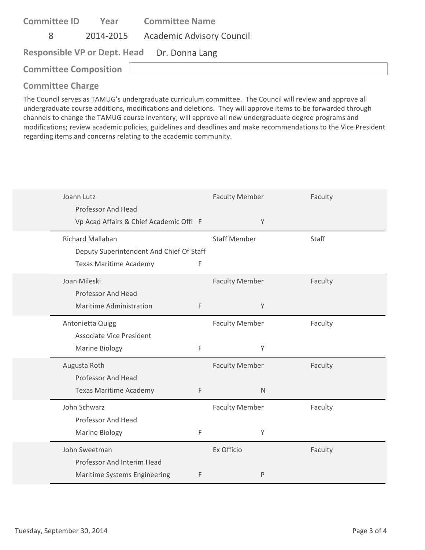| <b>Committee ID</b>          | Year | <b>Committee Name</b>                       |
|------------------------------|------|---------------------------------------------|
| 8                            |      | 2014-2015 Academic Advisory Council         |
|                              |      | Responsible VP or Dept. Head Dr. Donna Lang |
| <b>Committee Composition</b> |      |                                             |
|                              |      |                                             |

| Joann Lutz                               |   | <b>Faculty Member</b> | Faculty |
|------------------------------------------|---|-----------------------|---------|
| Professor And Head                       |   |                       |         |
| Vp Acad Affairs & Chief Academic Offi F  |   | Y                     |         |
| <b>Richard Mallahan</b>                  |   | <b>Staff Member</b>   | Staff   |
| Deputy Superintendent And Chief Of Staff |   |                       |         |
| Texas Maritime Academy                   | F |                       |         |
| Joan Mileski                             |   | <b>Faculty Member</b> | Faculty |
| Professor And Head                       |   |                       |         |
| <b>Maritime Administration</b>           | F | Y                     |         |
| Antonietta Quigg                         |   | <b>Faculty Member</b> | Faculty |
| <b>Associate Vice President</b>          |   |                       |         |
| Marine Biology                           | F | Υ                     |         |
| Augusta Roth                             |   | <b>Faculty Member</b> | Faculty |
| Professor And Head                       |   |                       |         |
| <b>Texas Maritime Academy</b>            | F | $\mathsf{N}$          |         |
| John Schwarz                             |   | <b>Faculty Member</b> | Faculty |
| Professor And Head                       |   |                       |         |
| Marine Biology                           | F | Y                     |         |
| John Sweetman                            |   | Ex Officio            | Faculty |
| Professor And Interim Head               |   |                       |         |
| Maritime Systems Engineering             | F | P                     |         |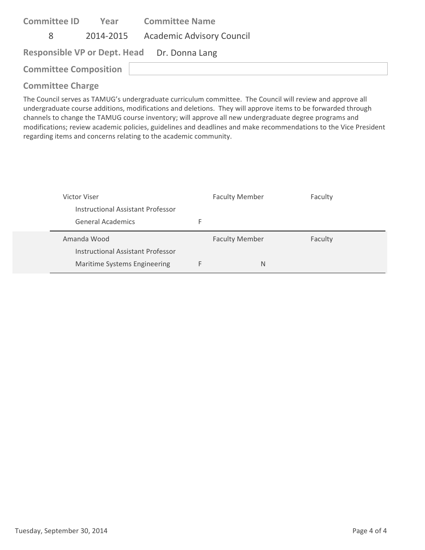| <b>Committee ID</b>          | Year | <b>Committee Name</b>                       |
|------------------------------|------|---------------------------------------------|
| 8                            |      | 2014-2015 Academic Advisory Council         |
|                              |      | Responsible VP or Dept. Head Dr. Donna Lang |
| <b>Committee Composition</b> |      |                                             |
|                              |      |                                             |

| Victor Viser                      | <b>Faculty Member</b> | Faculty |
|-----------------------------------|-----------------------|---------|
| Instructional Assistant Professor |                       |         |
| General Academics                 |                       |         |
|                                   |                       |         |
| Amanda Wood                       | <b>Faculty Member</b> | Faculty |
| Instructional Assistant Professor |                       |         |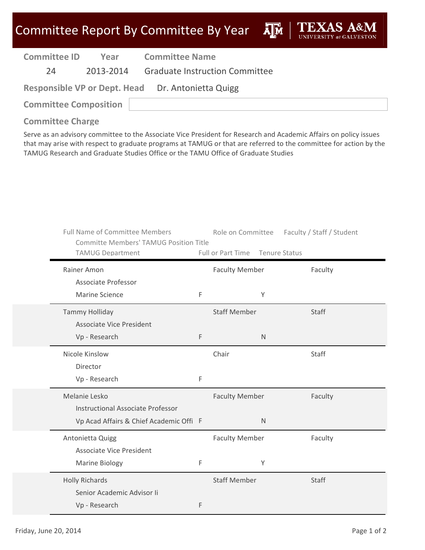**A**<sup>M</sup>

| <b>Committee ID</b> | Year      | <b>Committee Name</b>                 |
|---------------------|-----------|---------------------------------------|
| 24                  | 2013-2014 | <b>Graduate Instruction Committee</b> |

**Responsible VP or Dept. Head** Dr. Antonietta Quigg

**Committee Composition**

**Committee Charge**

| <b>Full Name of Committee Members</b><br><b>Committe Members' TAMUG Position Title</b><br><b>TAMUG Department</b> |   | Role on Committee<br>Full or Part Time | <b>Tenure Status</b> | Faculty / Staff / Student |
|-------------------------------------------------------------------------------------------------------------------|---|----------------------------------------|----------------------|---------------------------|
|                                                                                                                   |   |                                        |                      |                           |
| Rainer Amon                                                                                                       |   | <b>Faculty Member</b>                  |                      | Faculty                   |
| Associate Professor                                                                                               |   |                                        |                      |                           |
| <b>Marine Science</b>                                                                                             | F |                                        | Y                    |                           |
| <b>Tammy Holliday</b>                                                                                             |   | <b>Staff Member</b>                    |                      | Staff                     |
| <b>Associate Vice President</b>                                                                                   |   |                                        |                      |                           |
| Vp - Research                                                                                                     | F |                                        | $\mathsf{N}$         |                           |
| Nicole Kinslow                                                                                                    |   | Chair                                  |                      | Staff                     |
| Director                                                                                                          |   |                                        |                      |                           |
| Vp - Research                                                                                                     | F |                                        |                      |                           |
| Melanie Lesko                                                                                                     |   | <b>Faculty Member</b>                  |                      | Faculty                   |
| <b>Instructional Associate Professor</b>                                                                          |   |                                        |                      |                           |
| Vp Acad Affairs & Chief Academic Offi F                                                                           |   |                                        | $\mathsf{N}$         |                           |
| Antonietta Quigg                                                                                                  |   | <b>Faculty Member</b>                  |                      | Faculty                   |
| <b>Associate Vice President</b>                                                                                   |   |                                        |                      |                           |
| Marine Biology                                                                                                    | F |                                        | Y                    |                           |
| <b>Holly Richards</b>                                                                                             |   | <b>Staff Member</b>                    |                      | <b>Staff</b>              |
| Senior Academic Advisor Ii                                                                                        |   |                                        |                      |                           |
| Vp - Research                                                                                                     | F |                                        |                      |                           |
|                                                                                                                   |   |                                        |                      |                           |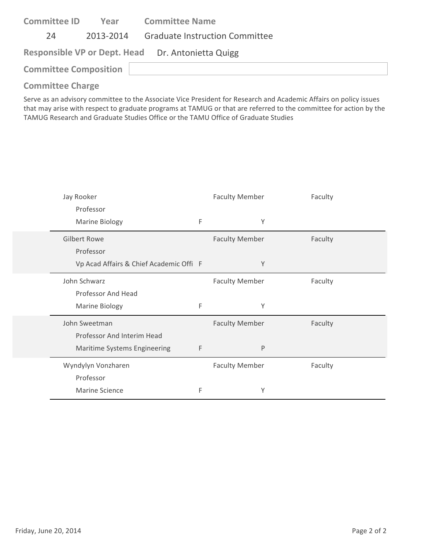| <b>Committee ID</b>          | Year | <b>Committee Name</b>                             |  |  |
|------------------------------|------|---------------------------------------------------|--|--|
| 24                           |      | 2013-2014 Graduate Instruction Committee          |  |  |
|                              |      | Responsible VP or Dept. Head Dr. Antonietta Quigg |  |  |
| <b>Committee Composition</b> |      |                                                   |  |  |
| Consideration Chairman       |      |                                                   |  |  |

| Jay Rooker                              |   | <b>Faculty Member</b> | Faculty |
|-----------------------------------------|---|-----------------------|---------|
| Professor                               |   |                       |         |
| Marine Biology                          | F | Υ                     |         |
| <b>Gilbert Rowe</b>                     |   | <b>Faculty Member</b> | Faculty |
| Professor                               |   |                       |         |
| Vp Acad Affairs & Chief Academic Offi F |   | Υ                     |         |
| John Schwarz                            |   | <b>Faculty Member</b> | Faculty |
| Professor And Head                      |   |                       |         |
| <b>Marine Biology</b>                   | F | Υ                     |         |
| John Sweetman                           |   | <b>Faculty Member</b> | Faculty |
| Professor And Interim Head              |   |                       |         |
| Maritime Systems Engineering            | F | P                     |         |
| Wyndylyn Vonzharen                      |   | <b>Faculty Member</b> | Faculty |
| Professor                               |   |                       |         |
| Marine Science                          | F | Υ                     |         |
|                                         |   |                       |         |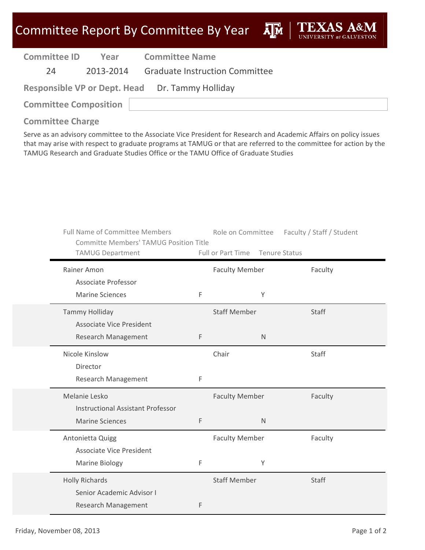ДÑ

| <b>Committee ID</b> | Year      | <b>Committee Name</b>                           |  |  |
|---------------------|-----------|-------------------------------------------------|--|--|
| 24                  | 2013-2014 | <b>Graduate Instruction Committee</b>           |  |  |
|                     |           | Responsible VP or Dept. Head Dr. Tammy Holliday |  |  |

**Committee Composition**

**Committee Charge**

| <b>Full Name of Committee Members</b><br><b>Committe Members' TAMUG Position Title</b><br><b>TAMUG Department</b> |   | Role on Committee<br>Full or Part Time | Faculty / Staff / Student<br><b>Tenure Status</b> |  |
|-------------------------------------------------------------------------------------------------------------------|---|----------------------------------------|---------------------------------------------------|--|
| Rainer Amon                                                                                                       |   | <b>Faculty Member</b>                  | Faculty                                           |  |
| Associate Professor                                                                                               |   |                                        |                                                   |  |
| <b>Marine Sciences</b>                                                                                            | F | Y                                      |                                                   |  |
| <b>Tammy Holliday</b>                                                                                             |   | <b>Staff Member</b>                    | Staff                                             |  |
| <b>Associate Vice President</b>                                                                                   |   |                                        |                                                   |  |
| <b>Research Management</b>                                                                                        | F | $\mathsf{N}$                           |                                                   |  |
| Nicole Kinslow                                                                                                    |   | Chair                                  | Staff                                             |  |
| Director                                                                                                          |   |                                        |                                                   |  |
| Research Management                                                                                               | F |                                        |                                                   |  |
| Melanie Lesko                                                                                                     |   | <b>Faculty Member</b>                  | Faculty                                           |  |
| <b>Instructional Assistant Professor</b>                                                                          |   |                                        |                                                   |  |
| <b>Marine Sciences</b>                                                                                            | F | $\mathsf{N}$                           |                                                   |  |
| Antonietta Quigg                                                                                                  |   | <b>Faculty Member</b>                  | Faculty                                           |  |
| <b>Associate Vice President</b>                                                                                   |   |                                        |                                                   |  |
| <b>Marine Biology</b>                                                                                             | F | Υ                                      |                                                   |  |
| <b>Holly Richards</b>                                                                                             |   | <b>Staff Member</b>                    | Staff                                             |  |
| Senior Academic Advisor I                                                                                         |   |                                        |                                                   |  |
| Research Management                                                                                               | F |                                        |                                                   |  |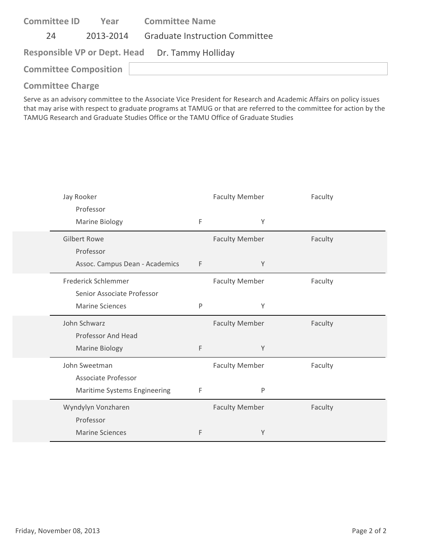| <b>Committee ID</b>          | Year      | <b>Committee Name</b>                           |  |
|------------------------------|-----------|-------------------------------------------------|--|
| 24                           | 2013-2014 | <b>Graduate Instruction Committee</b>           |  |
|                              |           | Responsible VP or Dept. Head Dr. Tammy Holliday |  |
| <b>Committee Composition</b> |           |                                                 |  |
| Andreas Marie Alexandr       |           |                                                 |  |

| Jay Rooker                     |             | <b>Faculty Member</b> | Faculty |
|--------------------------------|-------------|-----------------------|---------|
| Professor<br>Marine Biology    | $\mathsf F$ | Υ                     |         |
| <b>Gilbert Rowe</b>            |             | <b>Faculty Member</b> | Faculty |
| Professor                      |             |                       |         |
| Assoc. Campus Dean - Academics | $\mathsf F$ | Υ                     |         |
| Frederick Schlemmer            |             | <b>Faculty Member</b> | Faculty |
| Senior Associate Professor     |             |                       |         |
| <b>Marine Sciences</b>         | P           | Υ                     |         |
|                                |             |                       |         |
| John Schwarz                   |             | <b>Faculty Member</b> | Faculty |
| Professor And Head             |             |                       |         |
| Marine Biology                 | F           | Y                     |         |
| John Sweetman                  |             | <b>Faculty Member</b> | Faculty |
| Associate Professor            |             |                       |         |
| Maritime Systems Engineering   | $\mathsf F$ | P                     |         |
| Wyndylyn Vonzharen             |             | <b>Faculty Member</b> | Faculty |
| Professor                      |             |                       |         |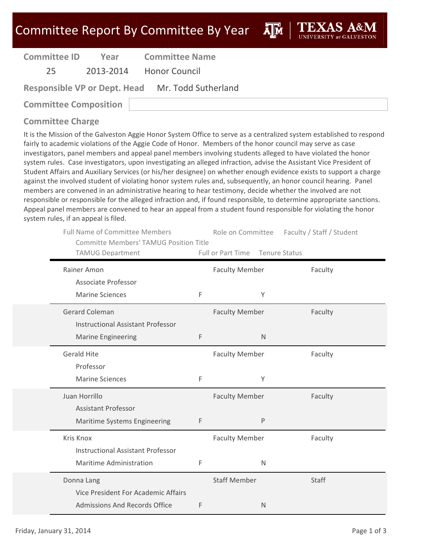**Committee ID**

**Year Committee Name**

25 2013‐2014 Honor Council

**Responsible VP or Dept. Head** Mr. Todd Sutherland

**Committee Composition**

### **Committee Charge**

It is the Mission of the Galveston Aggie Honor System Office to serve as a centralized system established to respond fairly to academic violations of the Aggie Code of Honor. Members of the honor council may serve as case investigators, panel members and appeal panel members involving students alleged to have violated the honor system rules. Case investigators, upon investigating an alleged infraction, advise the Assistant Vice President of Student Affairs and Auxiliary Services (or his/her designee) on whether enough evidence exists to support a charge against the involved student of violating honor system rules and, subsequently, an honor council hearing. Panel members are convened in an administrative hearing to hear testimony, decide whether the involved are not responsible or responsible for the alleged infraction and, if found responsible, to determine appropriate sanctions. Appeal panel members are convened to hear an appeal from a student found responsible for violating the honor system rules, if an appeal is filed.

| <b>Full Name of Committee Members</b><br><b>Committe Members' TAMUG Position Title</b><br><b>TAMUG Department</b> |   | Role on Committee<br>Full or Part Time Tenure Status | Faculty / Staff / Student |
|-------------------------------------------------------------------------------------------------------------------|---|------------------------------------------------------|---------------------------|
| Rainer Amon                                                                                                       |   | <b>Faculty Member</b>                                | Faculty                   |
| Associate Professor                                                                                               |   |                                                      |                           |
| <b>Marine Sciences</b>                                                                                            | F | Υ                                                    |                           |
| <b>Gerard Coleman</b>                                                                                             |   | <b>Faculty Member</b>                                | Faculty                   |
| <b>Instructional Assistant Professor</b>                                                                          |   |                                                      |                           |
| <b>Marine Engineering</b>                                                                                         | F | $\mathsf{N}$                                         |                           |
| <b>Gerald Hite</b>                                                                                                |   | <b>Faculty Member</b>                                | Faculty                   |
| Professor                                                                                                         |   |                                                      |                           |
| <b>Marine Sciences</b>                                                                                            | F | Υ                                                    |                           |
| Juan Horrillo                                                                                                     |   | <b>Faculty Member</b>                                | Faculty                   |
| <b>Assistant Professor</b>                                                                                        |   |                                                      |                           |
| Maritime Systems Engineering                                                                                      | F | $\sf P$                                              |                           |
| Kris Knox                                                                                                         |   | <b>Faculty Member</b>                                | Faculty                   |
| <b>Instructional Assistant Professor</b>                                                                          |   |                                                      |                           |
| Maritime Administration                                                                                           | F | $\mathsf{N}$                                         |                           |
| Donna Lang                                                                                                        |   | <b>Staff Member</b>                                  | Staff                     |
| Vice President For Academic Affairs                                                                               |   |                                                      |                           |
| <b>Admissions And Records Office</b>                                                                              | F | N                                                    |                           |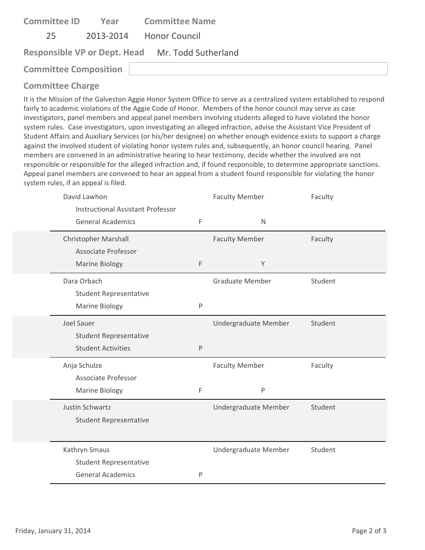| <b>Committee ID</b>                              |  | <b>Year Committee Name</b> |  |  |  |  |
|--------------------------------------------------|--|----------------------------|--|--|--|--|
| 25                                               |  | 2013-2014 Honor Council    |  |  |  |  |
| Responsible VP or Dept. Head Mr. Todd Sutherland |  |                            |  |  |  |  |
| <b>Committee Composition</b>                     |  |                            |  |  |  |  |
|                                                  |  |                            |  |  |  |  |

It is the Mission of the Galveston Aggie Honor System Office to serve as a centralized system established to respond fairly to academic violations of the Aggie Code of Honor. Members of the honor council may serve as case investigators, panel members and appeal panel members involving students alleged to have violated the honor system rules. Case investigators, upon investigating an alleged infraction, advise the Assistant Vice President of Student Affairs and Auxiliary Services (or his/her designee) on whether enough evidence exists to support a charge against the involved student of violating honor system rules and, subsequently, an honor council hearing. Panel members are convened in an administrative hearing to hear testimony, decide whether the involved are not responsible or responsible for the alleged infraction and, if found responsible, to determine appropriate sanctions. Appeal panel members are convened to hear an appeal from a student found responsible for violating the honor system rules, if an appeal is filed.

| David Lawhon<br><b>Instructional Assistant Professor</b> |   | <b>Faculty Member</b>  | Faculty |
|----------------------------------------------------------|---|------------------------|---------|
| <b>General Academics</b>                                 | F | $\mathsf{N}$           |         |
| <b>Christopher Marshall</b>                              |   | <b>Faculty Member</b>  | Faculty |
| Associate Professor                                      |   |                        |         |
| Marine Biology                                           | F | Y                      |         |
| Dara Orbach                                              |   | <b>Graduate Member</b> | Student |
| <b>Student Representative</b>                            |   |                        |         |
| Marine Biology                                           | P |                        |         |
| Joel Sauer                                               |   | Undergraduate Member   | Student |
| <b>Student Representative</b>                            |   |                        |         |
| <b>Student Activities</b>                                | P |                        |         |
| Anja Schulze                                             |   | <b>Faculty Member</b>  | Faculty |
| Associate Professor                                      |   |                        |         |
| Marine Biology                                           | F | P                      |         |
| Justin Schwartz                                          |   | Undergraduate Member   | Student |
| <b>Student Representative</b>                            |   |                        |         |
|                                                          |   |                        |         |
| Kathryn Smaus                                            |   | Undergraduate Member   | Student |
| <b>Student Representative</b>                            |   |                        |         |
| <b>General Academics</b>                                 | P |                        |         |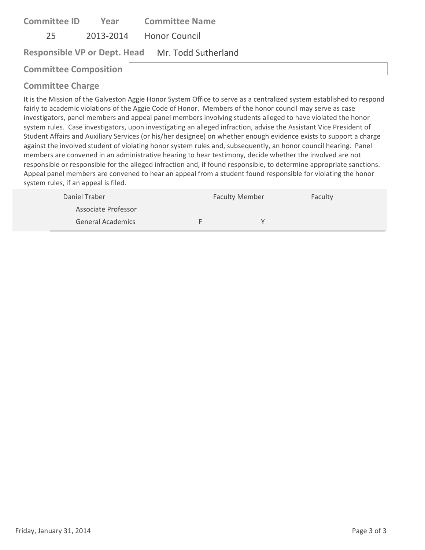| <b>Committee ID</b>          | Year | <b>Committee Name</b>                            |
|------------------------------|------|--------------------------------------------------|
| 25                           |      | 2013-2014 Honor Council                          |
|                              |      | Responsible VP or Dept. Head Mr. Todd Sutherland |
| <b>Committee Composition</b> |      |                                                  |
| Committee Charge             |      |                                                  |

It is the Mission of the Galveston Aggie Honor System Office to serve as a centralized system established to respond fairly to academic violations of the Aggie Code of Honor. Members of the honor council may serve as case investigators, panel members and appeal panel members involving students alleged to have violated the honor system rules. Case investigators, upon investigating an alleged infraction, advise the Assistant Vice President of Student Affairs and Auxiliary Services (or his/her designee) on whether enough evidence exists to support a charge against the involved student of violating honor system rules and, subsequently, an honor council hearing. Panel members are convened in an administrative hearing to hear testimony, decide whether the involved are not responsible or responsible for the alleged infraction and, if found responsible, to determine appropriate sanctions. Appeal panel members are convened to hear an appeal from a student found responsible for violating the honor system rules, if an appeal is filed.

| Daniel Traber       | <b>Faculty Member</b> |  | Faculty |
|---------------------|-----------------------|--|---------|
| Associate Professor |                       |  |         |
| General Academics   |                       |  |         |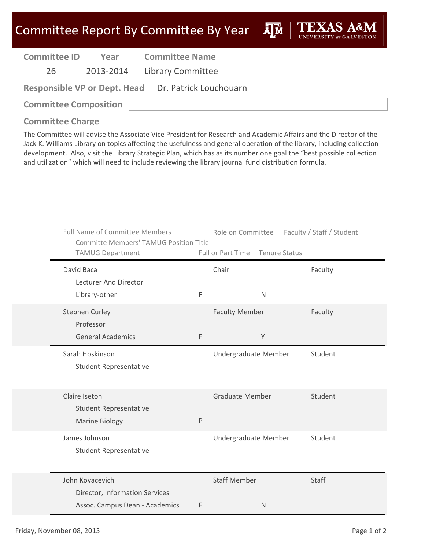ĀĪЙ

| <b>Committee ID</b> | Year      |
|---------------------|-----------|
| 26                  | 2013-2014 |

**Year Committee Name**

Library Committee

**Responsible VP or Dept. Head** Dr. Patrick Louchouarn

**Committee Composition**

**Committee Charge**

The Committee will advise the Associate Vice President for Research and Academic Affairs and the Director of the Jack K. Williams Library on topics affecting the usefulness and general operation of the library, including collection development. Also, visit the Library Strategic Plan, which has as its number one goal the "best possible collection and utilization" which will need to include reviewing the library journal fund distribution formula.

|               | <b>Full Name of Committee Members</b><br><b>Committe Members' TAMUG Position Title</b> |   | Role on Committee      |                      | Faculty / Staff / Student |
|---------------|----------------------------------------------------------------------------------------|---|------------------------|----------------------|---------------------------|
|               | <b>TAMUG Department</b>                                                                |   | Full or Part Time      | <b>Tenure Status</b> |                           |
| David Baca    |                                                                                        |   | Chair                  |                      | Faculty                   |
|               | Lecturer And Director                                                                  |   |                        |                      |                           |
|               | Library-other                                                                          | F |                        | N                    |                           |
|               | <b>Stephen Curley</b>                                                                  |   | <b>Faculty Member</b>  |                      | Faculty                   |
|               | Professor                                                                              |   |                        |                      |                           |
|               | <b>General Academics</b>                                                               | F |                        | Υ                    |                           |
|               | Sarah Hoskinson                                                                        |   | Undergraduate Member   |                      | Student                   |
|               | <b>Student Representative</b>                                                          |   |                        |                      |                           |
|               |                                                                                        |   |                        |                      |                           |
| Claire Iseton |                                                                                        |   | <b>Graduate Member</b> |                      | Student                   |
|               | <b>Student Representative</b>                                                          |   |                        |                      |                           |
|               | Marine Biology                                                                         | P |                        |                      |                           |
|               | James Johnson                                                                          |   | Undergraduate Member   |                      | Student                   |
|               | <b>Student Representative</b>                                                          |   |                        |                      |                           |
|               |                                                                                        |   |                        |                      |                           |
|               | John Kovacevich                                                                        |   | <b>Staff Member</b>    |                      | Staff                     |
|               | Director, Information Services                                                         |   |                        |                      |                           |
|               | Assoc. Campus Dean - Academics                                                         | F |                        | $\mathsf{N}$         |                           |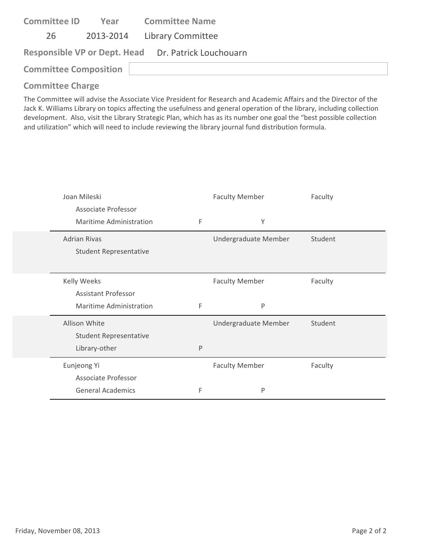| <b>Committee ID</b>                                 |  | <b>Year Committee Name</b>  |  |  |
|-----------------------------------------------------|--|-----------------------------|--|--|
| 26                                                  |  | 2013-2014 Library Committee |  |  |
| Responsible VP or Dept. Head Dr. Patrick Louchouarn |  |                             |  |  |
| <b>Committee Composition</b>                        |  |                             |  |  |

The Committee will advise the Associate Vice President for Research and Academic Affairs and the Director of the Jack K. Williams Library on topics affecting the usefulness and general operation of the library, including collection development. Also, visit the Library Strategic Plan, which has as its number one goal the "best possible collection and utilization" which will need to include reviewing the library journal fund distribution formula.

| Joan Mileski                  |   | <b>Faculty Member</b> | Faculty |
|-------------------------------|---|-----------------------|---------|
| Associate Professor           |   |                       |         |
| Maritime Administration       | F | Y                     |         |
| <b>Adrian Rivas</b>           |   | Undergraduate Member  | Student |
| <b>Student Representative</b> |   |                       |         |
|                               |   |                       |         |
| <b>Kelly Weeks</b>            |   | <b>Faculty Member</b> | Faculty |
| <b>Assistant Professor</b>    |   |                       |         |
| Maritime Administration       | F | P                     |         |
| Allison White                 |   | Undergraduate Member  | Student |
| <b>Student Representative</b> |   |                       |         |
| Library-other                 | P |                       |         |
| Eunjeong Yi                   |   | <b>Faculty Member</b> | Faculty |
|                               |   |                       |         |
| Associate Professor           |   |                       |         |
| <b>General Academics</b>      | F | P                     |         |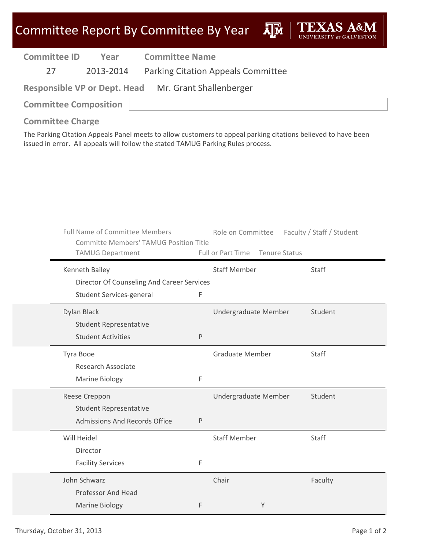|                         |             | Committee Report By Committee By Year                                                                             |                       |         |                                                                                  |                                                                                                               |
|-------------------------|-------------|-------------------------------------------------------------------------------------------------------------------|-----------------------|---------|----------------------------------------------------------------------------------|---------------------------------------------------------------------------------------------------------------|
| <b>Committee ID</b>     |             | Year                                                                                                              | <b>Committee Name</b> |         |                                                                                  |                                                                                                               |
| 27                      |             | 2013-2014                                                                                                         |                       |         | <b>Parking Citation Appeals Committee</b>                                        |                                                                                                               |
|                         |             | <b>Responsible VP or Dept. Head</b>                                                                               |                       |         | Mr. Grant Shallenberger                                                          |                                                                                                               |
|                         |             | <b>Committee Composition</b>                                                                                      |                       |         |                                                                                  |                                                                                                               |
| <b>Committee Charge</b> |             |                                                                                                                   |                       |         | issued in error. All appeals will follow the stated TAMUG Parking Rules process. | The Parking Citation Appeals Panel meets to allow customers to appeal parking citations believed to have been |
|                         |             | <b>Full Name of Committee Members</b><br><b>Committe Members' TAMUG Position Title</b><br><b>TAMUG Department</b> |                       |         | Full or Part Time Tenure Status                                                  | Role on Committee Faculty / Staff / Student                                                                   |
|                         |             | Kenneth Bailey                                                                                                    |                       |         | <b>Staff Member</b>                                                              | Staff                                                                                                         |
|                         |             | Director Of Counseling And Career Services<br>Student Services-general                                            |                       | F       |                                                                                  |                                                                                                               |
|                         | Dylan Black |                                                                                                                   |                       |         | Undergraduate Member                                                             | Student                                                                                                       |
|                         |             | <b>Student Representative</b>                                                                                     |                       |         |                                                                                  |                                                                                                               |
|                         |             | <b>Student Activities</b>                                                                                         |                       | $\sf P$ |                                                                                  |                                                                                                               |
|                         | Tyra Booe   | <b>Research Associate</b>                                                                                         |                       |         | <b>Graduate Member</b>                                                           | Staff                                                                                                         |
|                         |             | Marine Biology                                                                                                    |                       | F       |                                                                                  |                                                                                                               |
|                         |             | Reese Creppon                                                                                                     |                       |         | Undergraduate Member                                                             | Student                                                                                                       |
|                         |             | <b>Student Representative</b>                                                                                     |                       |         |                                                                                  |                                                                                                               |
|                         |             | Admissions And Records Office                                                                                     |                       | $\sf P$ |                                                                                  |                                                                                                               |
|                         | Will Heidel |                                                                                                                   |                       |         | <b>Staff Member</b>                                                              | Staff                                                                                                         |
|                         |             | Director                                                                                                          |                       |         |                                                                                  |                                                                                                               |
|                         |             | <b>Facility Services</b>                                                                                          |                       | F       |                                                                                  |                                                                                                               |
|                         |             | John Schwarz                                                                                                      |                       |         | Chair                                                                            | Faculty                                                                                                       |

F Y

Thursday, October 31, 2013 **Page 1 of 2** Page 1 of 2

Professor And Head

Marine Biology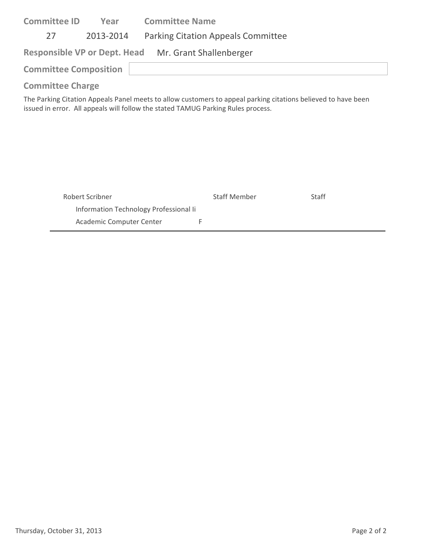| <b>Committee ID</b>                                                                                           | Year                                                 | <b>Committee Name</b>                     |  |  |  |
|---------------------------------------------------------------------------------------------------------------|------------------------------------------------------|-------------------------------------------|--|--|--|
| 27                                                                                                            | 2013-2014                                            | <b>Parking Citation Appeals Committee</b> |  |  |  |
|                                                                                                               | Responsible VP or Dept. Head Mr. Grant Shallenberger |                                           |  |  |  |
| <b>Committee Composition</b>                                                                                  |                                                      |                                           |  |  |  |
| <b>Committee Charge</b>                                                                                       |                                                      |                                           |  |  |  |
| The Parking Citation Anneals Panel meets to allow customers to anneal narking citations helieved to have heen |                                                      |                                           |  |  |  |

The Parking Citation Appeals Panel meets to allow customers to appeal parking citations believed to have been issued in error. All appeals will follow the stated TAMUG Parking Rules process.

| Robert Scribner                        | <b>Staff Member</b> | Staff |
|----------------------------------------|---------------------|-------|
| Information Technology Professional Ii |                     |       |
| Academic Computer Center               |                     |       |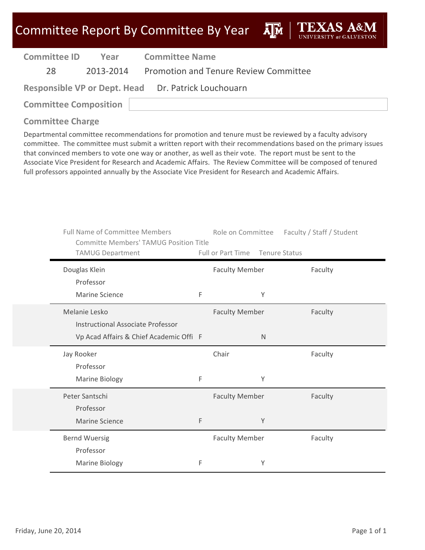### Committee Report By Committee By Year  $\overline{A}\overline{M}$

| <b>Committee ID</b>                                 | Year | <b>Committee Name</b>                           |  |  |
|-----------------------------------------------------|------|-------------------------------------------------|--|--|
| 28                                                  |      | 2013-2014 Promotion and Tenure Review Committee |  |  |
| Responsible VP or Dept. Head Dr. Patrick Louchouarn |      |                                                 |  |  |
| <b>Committee Composition</b>                        |      |                                                 |  |  |

#### **Committee Charge**

Departmental committee recommendations for promotion and tenure must be reviewed by a faculty advisory committee. The committee must submit a written report with their recommendations based on the primary issues that convinced members to vote one way or another, as well as their vote. The report must be sent to the Associate Vice President for Research and Academic Affairs. The Review Committee will be composed of tenured full professors appointed annually by the Associate Vice President for Research and Academic Affairs.

| <b>Full Name of Committee Members</b><br><b>Committe Members' TAMUG Position Title</b> |   |                       | Role on Committee Faculty / Staff / Student |
|----------------------------------------------------------------------------------------|---|-----------------------|---------------------------------------------|
| <b>TAMUG Department</b>                                                                |   | Full or Part Time     | Tenure Status                               |
| Douglas Klein                                                                          |   | <b>Faculty Member</b> | Faculty                                     |
| Professor                                                                              |   |                       |                                             |
| <b>Marine Science</b>                                                                  | F | Υ                     |                                             |
| Melanie Lesko                                                                          |   | <b>Faculty Member</b> | Faculty                                     |
| <b>Instructional Associate Professor</b>                                               |   |                       |                                             |
| Vp Acad Affairs & Chief Academic Offi F                                                |   | N                     |                                             |
| Jay Rooker                                                                             |   | Chair                 | Faculty                                     |
| Professor                                                                              |   |                       |                                             |
| Marine Biology                                                                         | F | Υ                     |                                             |
| Peter Santschi                                                                         |   | <b>Faculty Member</b> | Faculty                                     |
| Professor                                                                              |   |                       |                                             |
| <b>Marine Science</b>                                                                  | F | Υ                     |                                             |
| <b>Bernd Wuersig</b>                                                                   |   | <b>Faculty Member</b> | Faculty                                     |
| Professor                                                                              |   |                       |                                             |
| Marine Biology                                                                         | F | Υ                     |                                             |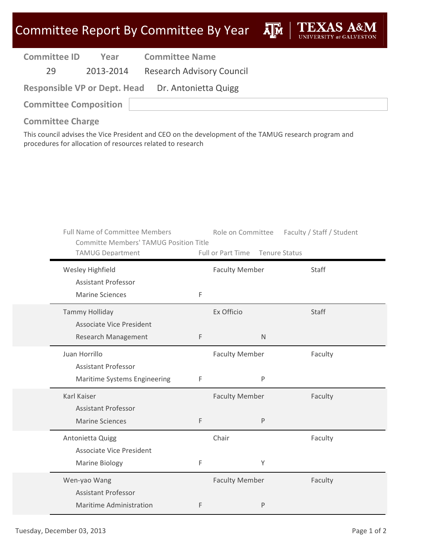| <b>Committee ID</b> | Year      | <b>Committee Name</b>            |
|---------------------|-----------|----------------------------------|
| 29                  | 2013-2014 | <b>Research Advisory Council</b> |
| $\cdots$            |           | _ _ .                            |

**Responsible VP or Dept. Head** Dr. Antonietta Quigg

**Committee Composition**

**Committee Charge**

This council advises the Vice President and CEO on the development of the TAMUG research program and procedures for allocation of resources related to research

| <b>Full Name of Committee Members</b><br><b>Committe Members' TAMUG Position Title</b> |   | Role on Committee     | Faculty / Staff / Student |
|----------------------------------------------------------------------------------------|---|-----------------------|---------------------------|
| <b>TAMUG Department</b>                                                                |   | Full or Part Time     | <b>Tenure Status</b>      |
| Wesley Highfield                                                                       |   | <b>Faculty Member</b> | Staff                     |
| <b>Assistant Professor</b>                                                             |   |                       |                           |
| <b>Marine Sciences</b>                                                                 | F |                       |                           |
| <b>Tammy Holliday</b>                                                                  |   | Ex Officio            | Staff                     |
| <b>Associate Vice President</b>                                                        |   |                       |                           |
| <b>Research Management</b>                                                             | F | $\mathsf{N}$          |                           |
| Juan Horrillo                                                                          |   | <b>Faculty Member</b> | Faculty                   |
| <b>Assistant Professor</b>                                                             |   |                       |                           |
| Maritime Systems Engineering                                                           | F | $\sf P$               |                           |
| Karl Kaiser                                                                            |   | <b>Faculty Member</b> | Faculty                   |
| <b>Assistant Professor</b>                                                             |   |                       |                           |
| <b>Marine Sciences</b>                                                                 | F | $\mathsf{P}$          |                           |
| Antonietta Quigg                                                                       |   | Chair                 | Faculty                   |
| <b>Associate Vice President</b>                                                        |   |                       |                           |
| <b>Marine Biology</b>                                                                  | F | Y                     |                           |
| Wen-yao Wang                                                                           |   | <b>Faculty Member</b> | Faculty                   |
| <b>Assistant Professor</b>                                                             |   |                       |                           |
| <b>Maritime Administration</b>                                                         | F | $\mathsf{P}$          |                           |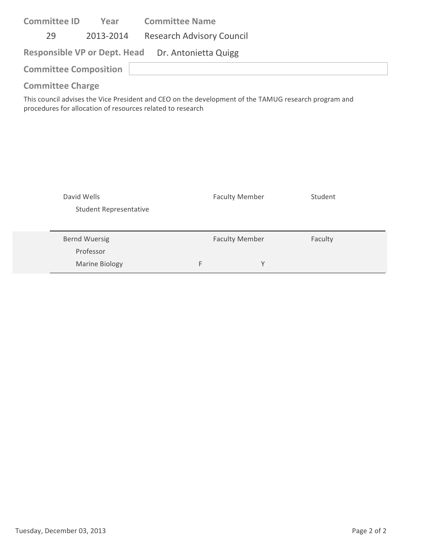| <b>Committee ID</b>                                                                                  | Year      | <b>Committee Name</b>            |  |  |  |
|------------------------------------------------------------------------------------------------------|-----------|----------------------------------|--|--|--|
| 29                                                                                                   | 2013-2014 | <b>Research Advisory Council</b> |  |  |  |
| Responsible VP or Dept. Head Dr. Antonietta Quigg                                                    |           |                                  |  |  |  |
| <b>Committee Composition</b>                                                                         |           |                                  |  |  |  |
| <b>Committee Charge</b>                                                                              |           |                                  |  |  |  |
| This council advises the Vice President and CEO on the development of the TAMUC research program and |           |                                  |  |  |  |

This council advises the Vice President and CEO on the development of the TAMUG research program and procedures for allocation of resources related to research

| David Wells<br><b>Student Representative</b> |   | <b>Faculty Member</b> | Student |  |
|----------------------------------------------|---|-----------------------|---------|--|
| <b>Bernd Wuersig</b><br>Professor            |   | <b>Faculty Member</b> | Faculty |  |
| <b>Marine Biology</b>                        | F | v                     |         |  |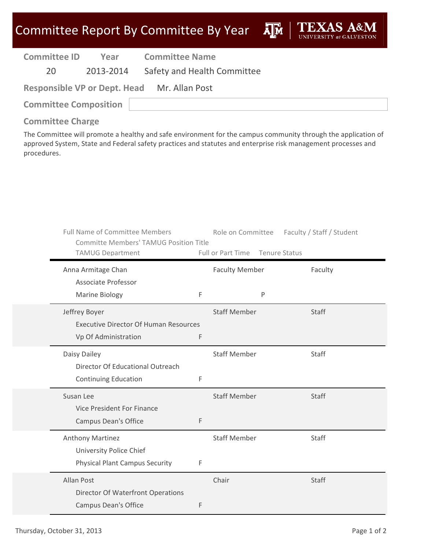| <b>Committee ID</b> | Year      | <b>Committee Name</b>                       |  |  |  |
|---------------------|-----------|---------------------------------------------|--|--|--|
| 20.                 | 2013-2014 | Safety and Health Committee                 |  |  |  |
|                     |           | Responsible VP or Dept. Head Mr. Allan Post |  |  |  |

| <b>Committee Composition</b> |  |
|------------------------------|--|

### **Committee Charge**

The Committee will promote a healthy and safe environment for the campus community through the application of approved System, State and Federal safety practices and statutes and enterprise risk management processes and procedures.

| <b>Full Name of Committee Members</b><br><b>Committe Members' TAMUG Position Title</b> |   | Role on Committee     |               | Faculty / Staff / Student |
|----------------------------------------------------------------------------------------|---|-----------------------|---------------|---------------------------|
| <b>TAMUG Department</b>                                                                |   | Full or Part Time     | Tenure Status |                           |
| Anna Armitage Chan                                                                     |   | <b>Faculty Member</b> |               | Faculty                   |
| <b>Associate Professor</b>                                                             |   |                       |               |                           |
| <b>Marine Biology</b>                                                                  | F |                       | P             |                           |
| Jeffrey Boyer                                                                          |   | <b>Staff Member</b>   |               | Staff                     |
| <b>Executive Director Of Human Resources</b>                                           |   |                       |               |                           |
| Vp Of Administration                                                                   | F |                       |               |                           |
| Daisy Dailey                                                                           |   | <b>Staff Member</b>   |               | Staff                     |
| Director Of Educational Outreach                                                       |   |                       |               |                           |
| <b>Continuing Education</b>                                                            | F |                       |               |                           |
| Susan Lee                                                                              |   | <b>Staff Member</b>   |               | Staff                     |
| Vice President For Finance                                                             |   |                       |               |                           |
| <b>Campus Dean's Office</b>                                                            | F |                       |               |                           |
| Anthony Martinez                                                                       |   | <b>Staff Member</b>   |               | Staff                     |
| University Police Chief                                                                |   |                       |               |                           |
| <b>Physical Plant Campus Security</b>                                                  | F |                       |               |                           |
| Allan Post                                                                             |   | Chair                 |               | Staff                     |
| Director Of Waterfront Operations                                                      |   |                       |               |                           |
| <b>Campus Dean's Office</b>                                                            | F |                       |               |                           |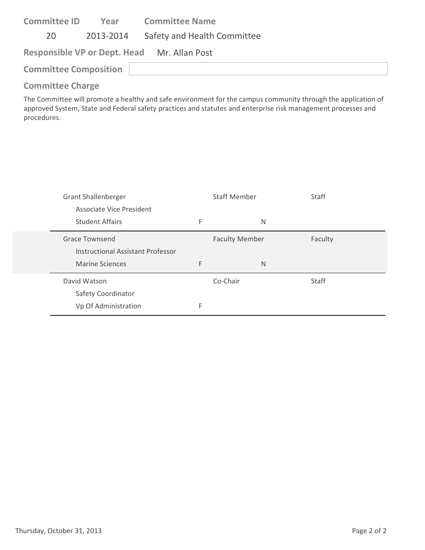| <b>Committee ID</b>          | Year      | <b>Committee Name</b>                       |  |  |
|------------------------------|-----------|---------------------------------------------|--|--|
| 20                           | 2013-2014 | Safety and Health Committee                 |  |  |
|                              |           | Responsible VP or Dept. Head Mr. Allan Post |  |  |
| <b>Committee Composition</b> |           |                                             |  |  |
|                              |           |                                             |  |  |

The Committee will promote a healthy and safe environment for the campus community through the application of approved System, State and Federal safety practices and statutes and enterprise risk management processes and procedures.

| <b>Grant Shallenberger</b><br>Associate Vice President     | <b>Staff Member</b> |                       | <b>Staff</b> |
|------------------------------------------------------------|---------------------|-----------------------|--------------|
| <b>Student Affairs</b>                                     | F                   | N                     |              |
| Grace Townsend<br><b>Instructional Assistant Professor</b> |                     | <b>Faculty Member</b> | Faculty      |
| <b>Marine Sciences</b>                                     | F                   | N                     |              |
| David Watson<br>Safety Coordinator                         |                     | Co-Chair              | <b>Staff</b> |
| Vp Of Administration                                       | F                   |                       |              |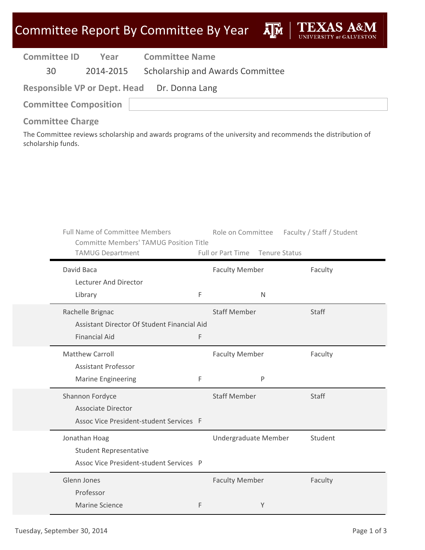| <b>Committee ID</b>                         | Year | <b>Committee Name</b>                      |  |  |
|---------------------------------------------|------|--------------------------------------------|--|--|
| 30 L                                        |      | 2014-2015 Scholarship and Awards Committee |  |  |
| Responsible VP or Dept. Head Dr. Donna Lang |      |                                            |  |  |
| <b>Committee Composition</b>                |      |                                            |  |  |

#### **Committee Charge**

The Committee reviews scholarship and awards programs of the university and recommends the distribution of scholarship funds.

| <b>Full Name of Committee Members</b><br><b>Committe Members' TAMUG Position Title</b><br><b>TAMUG Department</b> |   | Full or Part Time Tenure Status       | Role on Committee Faculty / Staff / Student |
|-------------------------------------------------------------------------------------------------------------------|---|---------------------------------------|---------------------------------------------|
| David Baca<br>Lecturer And Director                                                                               |   | <b>Faculty Member</b>                 | Faculty                                     |
| Library                                                                                                           | F | $\mathsf{N}$                          |                                             |
| Rachelle Brignac<br>Assistant Director Of Student Financial Aid                                                   |   | <b>Staff Member</b>                   | Staff                                       |
| <b>Financial Aid</b>                                                                                              | F |                                       |                                             |
| <b>Matthew Carroll</b><br><b>Assistant Professor</b><br><b>Marine Engineering</b>                                 | F | <b>Faculty Member</b><br>$\mathsf{P}$ | Faculty                                     |
| Shannon Fordyce<br><b>Associate Director</b><br>Assoc Vice President-student Services F                           |   | <b>Staff Member</b>                   | Staff                                       |
| Jonathan Hoag<br><b>Student Representative</b><br>Assoc Vice President-student Services P                         |   | Undergraduate Member                  | Student                                     |
| Glenn Jones<br>Professor<br><b>Marine Science</b>                                                                 | F | <b>Faculty Member</b><br>Y            | Faculty                                     |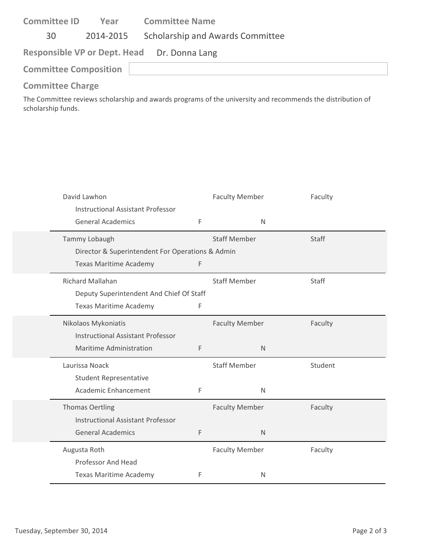| <b>Committee ID</b>                         | Year | <b>Committee Name</b>                      |  |  |
|---------------------------------------------|------|--------------------------------------------|--|--|
| 30                                          |      | 2014-2015 Scholarship and Awards Committee |  |  |
| Responsible VP or Dept. Head Dr. Donna Lang |      |                                            |  |  |
| <b>Committee Composition</b>                |      |                                            |  |  |

The Committee reviews scholarship and awards programs of the university and recommends the distribution of scholarship funds.

| David Lawhon<br><b>Instructional Assistant Professor</b> |             | <b>Faculty Member</b> | Faculty      |
|----------------------------------------------------------|-------------|-----------------------|--------------|
| <b>General Academics</b>                                 | F           | N                     |              |
| Tammy Lobaugh                                            |             | <b>Staff Member</b>   | <b>Staff</b> |
| Director & Superintendent For Operations & Admin         |             |                       |              |
| <b>Texas Maritime Academy</b>                            | F           |                       |              |
| <b>Richard Mallahan</b>                                  |             | <b>Staff Member</b>   | <b>Staff</b> |
| Deputy Superintendent And Chief Of Staff                 |             |                       |              |
| <b>Texas Maritime Academy</b>                            | F           |                       |              |
| Nikolaos Mykoniatis                                      |             | <b>Faculty Member</b> | Faculty      |
| <b>Instructional Assistant Professor</b>                 |             |                       |              |
| <b>Maritime Administration</b>                           | $\mathsf F$ | $\mathsf{N}$          |              |
| Laurissa Noack                                           |             | <b>Staff Member</b>   | Student      |
| <b>Student Representative</b>                            |             |                       |              |
| Academic Enhancement                                     | F           | $\mathsf{N}$          |              |
| <b>Thomas Oertling</b>                                   |             | <b>Faculty Member</b> | Faculty      |
| <b>Instructional Assistant Professor</b>                 |             |                       |              |
| <b>General Academics</b>                                 | $\mathsf F$ | $\mathsf{N}$          |              |
| Augusta Roth                                             |             | <b>Faculty Member</b> | Faculty      |
| <b>Professor And Head</b>                                |             |                       |              |
| <b>Texas Maritime Academy</b>                            | F           | N                     |              |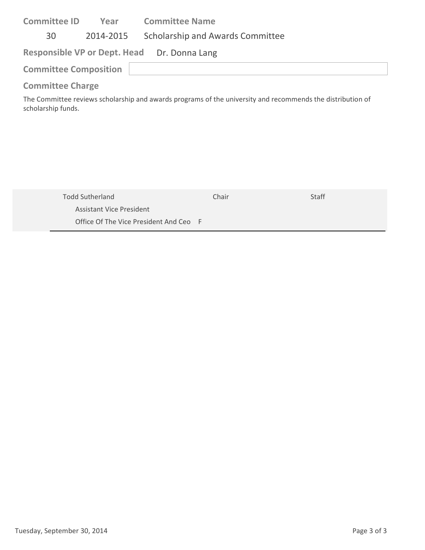| <b>Committee ID</b>          | Year      | <b>Committee Name</b>                       |
|------------------------------|-----------|---------------------------------------------|
| 30                           | 2014-2015 | Scholarship and Awards Committee            |
|                              |           | Responsible VP or Dept. Head Dr. Donna Lang |
| <b>Committee Composition</b> |           |                                             |
| <b>Committee Charge</b>      |           |                                             |

The Committee reviews scholarship and awards programs of the university and recommends the distribution of scholarship funds.

| Todd Sutherland                        | Chair | <b>Staff</b> |
|----------------------------------------|-------|--------------|
| Assistant Vice President               |       |              |
| Office Of The Vice President And Ceo F |       |              |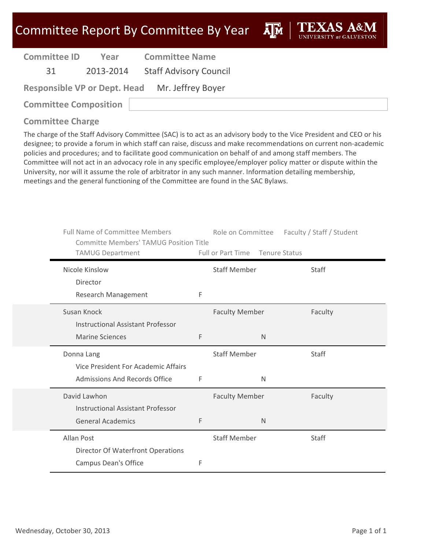**A**M

**Committee ID**

**Year Committee Name**

31 2013‐2014 Staff Advisory Council

| <b>Responsible VP or Dept. Head</b> | Mr. Jeffrey Boyer |
|-------------------------------------|-------------------|
|-------------------------------------|-------------------|

**Committee Composition**

### **Committee Charge**

The charge of the Staff Advisory Committee (SAC) is to act as an advisory body to the Vice President and CEO or his designee; to provide a forum in which staff can raise, discuss and make recommendations on current non‐academic policies and procedures; and to facilitate good communication on behalf of and among staff members. The Committee will not act in an advocacy role in any specific employee/employer policy matter or dispute within the University, nor will it assume the role of arbitrator in any such manner. Information detailing membership, meetings and the general functioning of the Committee are found in the SAC Bylaws.

| <b>Full Name of Committee Members</b><br><b>Committe Members' TAMUG Position Title</b><br><b>TAMUG Department</b> |   | Role on Committee<br>Full or Part Time Tenure Status | Faculty / Staff / Student |
|-------------------------------------------------------------------------------------------------------------------|---|------------------------------------------------------|---------------------------|
| Nicole Kinslow                                                                                                    |   | <b>Staff Member</b>                                  | Staff                     |
| Director<br>Research Management                                                                                   | F |                                                      |                           |
| Susan Knock<br><b>Instructional Assistant Professor</b>                                                           |   | <b>Faculty Member</b>                                | Faculty                   |
| <b>Marine Sciences</b>                                                                                            | F | N                                                    |                           |
| Donna Lang<br>Vice President For Academic Affairs                                                                 |   | <b>Staff Member</b>                                  | Staff                     |
| Admissions And Records Office                                                                                     | F | N                                                    |                           |
| David Lawhon<br><b>Instructional Assistant Professor</b>                                                          |   | <b>Faculty Member</b>                                | Faculty                   |
| <b>General Academics</b>                                                                                          | F | $\mathsf{N}$                                         |                           |
| Allan Post                                                                                                        |   | <b>Staff Member</b>                                  | Staff                     |
| Director Of Waterfront Operations<br><b>Campus Dean's Office</b>                                                  | F |                                                      |                           |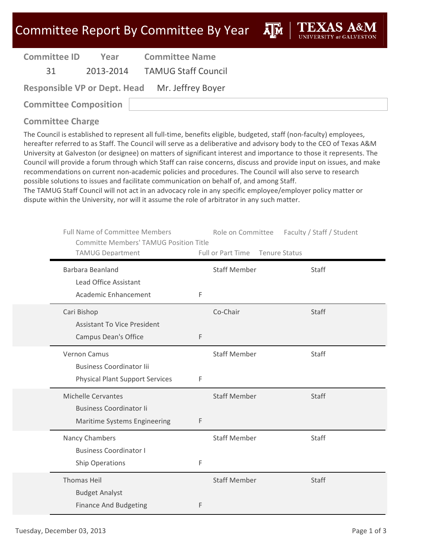**Committee ID**

**Year Committee Name**

31 2013‐2014 TAMUG Staff Council

| <b>Responsible VP or Dept. Head</b> |  | Mr. Jeffrey Boyer |  |
|-------------------------------------|--|-------------------|--|
|                                     |  |                   |  |

**Committee Composition**

**Committee Charge**

The Council is established to represent all full-time, benefits eligible, budgeted, staff (non-faculty) employees, hereafter referred to as Staff. The Council will serve as a deliberative and advisory body to the CEO of Texas A&M University at Galveston (or designee) on matters of significant interest and importance to those it represents. The Council will provide a forum through which Staff can raise concerns, discuss and provide input on issues, and make recommendations on current non‐academic policies and procedures. The Council will also serve to research possible solutions to issues and facilitate communication on behalf of, and among Staff.

The TAMUG Staff Council will not act in an advocacy role in any specific employee/employer policy matter or dispute within the University, nor will it assume the role of arbitrator in any such matter.

| <b>Full Name of Committee Members</b><br><b>Committe Members' TAMUG Position Title</b><br><b>TAMUG Department</b> |             | Role on Committee<br>Full or Part Time<br><b>Tenure Status</b> | Faculty / Staff / Student |
|-------------------------------------------------------------------------------------------------------------------|-------------|----------------------------------------------------------------|---------------------------|
| Barbara Beanland                                                                                                  |             | <b>Staff Member</b>                                            | Staff                     |
| Lead Office Assistant<br>Academic Enhancement                                                                     | $\mathsf F$ |                                                                |                           |
| Cari Bishop<br><b>Assistant To Vice President</b>                                                                 |             | Co-Chair                                                       | <b>Staff</b>              |
| <b>Campus Dean's Office</b>                                                                                       | $\mathsf F$ |                                                                |                           |
| Vernon Camus<br><b>Business Coordinator lii</b>                                                                   |             | <b>Staff Member</b>                                            | Staff                     |
| <b>Physical Plant Support Services</b>                                                                            | $\mathsf F$ |                                                                |                           |
| <b>Michelle Cervantes</b><br><b>Business Coordinator li</b>                                                       |             | <b>Staff Member</b>                                            | <b>Staff</b>              |
| Maritime Systems Engineering                                                                                      | $\mathsf F$ |                                                                |                           |
| Nancy Chambers<br><b>Business Coordinator I</b>                                                                   |             | <b>Staff Member</b>                                            | <b>Staff</b>              |
| <b>Ship Operations</b>                                                                                            | F           |                                                                |                           |
| <b>Thomas Heil</b><br><b>Budget Analyst</b>                                                                       |             | <b>Staff Member</b>                                            | Staff                     |
| <b>Finance And Budgeting</b>                                                                                      | F           |                                                                |                           |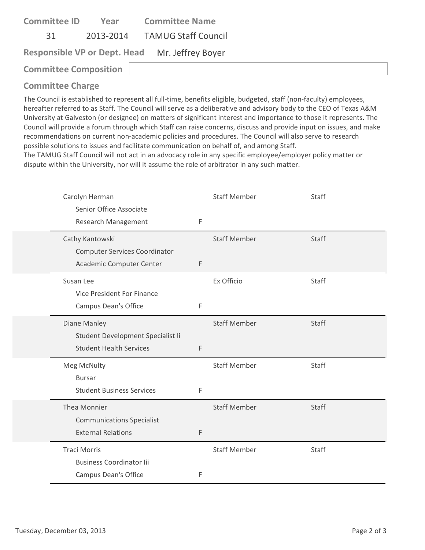| <b>Committee ID</b>          | Year | <b>Committee Name</b>                          |
|------------------------------|------|------------------------------------------------|
| .31                          |      | 2013-2014 TAMUG Staff Council                  |
|                              |      | Responsible VP or Dept. Head Mr. Jeffrey Boyer |
| <b>Committee Composition</b> |      |                                                |
|                              |      |                                                |

The Council is established to represent all full‐time, benefits eligible, budgeted, staff (non‐faculty) employees, hereafter referred to as Staff. The Council will serve as a deliberative and advisory body to the CEO of Texas A&M University at Galveston (or designee) on matters of significant interest and importance to those it represents. The Council will provide a forum through which Staff can raise concerns, discuss and provide input on issues, and make recommendations on current non‐academic policies and procedures. The Council will also serve to research possible solutions to issues and facilitate communication on behalf of, and among Staff.

The TAMUG Staff Council will not act in an advocacy role in any specific employee/employer policy matter or dispute within the University, nor will it assume the role of arbitrator in any such matter.

| Carolyn Herman<br>Senior Office Associate<br>Research Management                      | $\mathsf{F}$ | <b>Staff Member</b> | Staff        |
|---------------------------------------------------------------------------------------|--------------|---------------------|--------------|
| Cathy Kantowski<br><b>Computer Services Coordinator</b><br>Academic Computer Center   | F            | <b>Staff Member</b> | Staff        |
| Susan Lee<br>Vice President For Finance<br>Campus Dean's Office                       | F            | Ex Officio          | Staff        |
| Diane Manley<br>Student Development Specialist Ii<br><b>Student Health Services</b>   | $\mathsf F$  | <b>Staff Member</b> | <b>Staff</b> |
| Meg McNulty<br><b>Bursar</b><br><b>Student Business Services</b>                      | F            | <b>Staff Member</b> | Staff        |
| Thea Monnier<br><b>Communications Specialist</b><br><b>External Relations</b>         | F            | <b>Staff Member</b> | <b>Staff</b> |
| <b>Traci Morris</b><br><b>Business Coordinator lii</b><br><b>Campus Dean's Office</b> | F            | <b>Staff Member</b> | Staff        |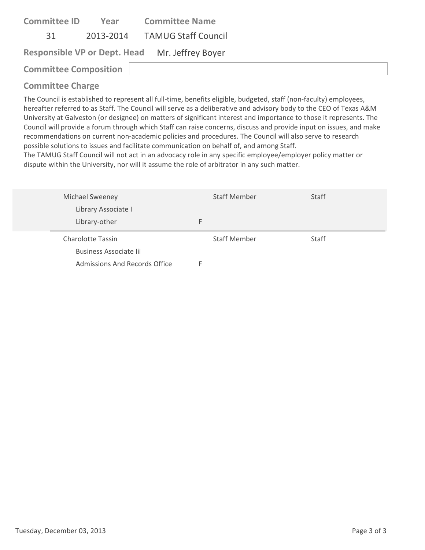| <b>Committee ID</b>          | Year | <b>Committee Name</b>                          |
|------------------------------|------|------------------------------------------------|
| 31                           |      | 2013-2014 TAMUG Staff Council                  |
|                              |      | Responsible VP or Dept. Head Mr. Jeffrey Boyer |
| <b>Committee Composition</b> |      |                                                |
|                              |      |                                                |

The Council is established to represent all full‐time, benefits eligible, budgeted, staff (non‐faculty) employees, hereafter referred to as Staff. The Council will serve as a deliberative and advisory body to the CEO of Texas A&M University at Galveston (or designee) on matters of significant interest and importance to those it represents. The Council will provide a forum through which Staff can raise concerns, discuss and provide input on issues, and make recommendations on current non‐academic policies and procedures. The Council will also serve to research possible solutions to issues and facilitate communication on behalf of, and among Staff.

The TAMUG Staff Council will not act in an advocacy role in any specific employee/employer policy matter or dispute within the University, nor will it assume the role of arbitrator in any such matter.

| <b>Michael Sweeney</b>   | <b>Staff Member</b> | <b>Staff</b> |
|--------------------------|---------------------|--------------|
| Library Associate I      |                     |              |
| Library-other            | F                   |              |
|                          |                     |              |
| <b>Charolotte Tassin</b> | <b>Staff Member</b> | Staff        |
| Business Associate lii   |                     |              |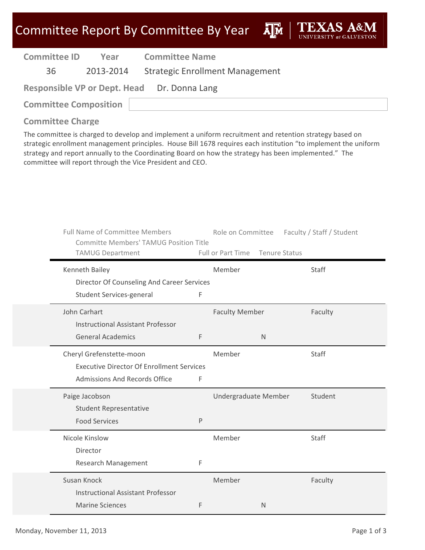**A**<sub>M</sub>

| <b>Committee ID</b>          | Year      | <b>Committee Name</b>                       |
|------------------------------|-----------|---------------------------------------------|
| 36                           | 2013-2014 | <b>Strategic Enrollment Management</b>      |
|                              |           | Responsible VP or Dept. Head Dr. Donna Lang |
| <b>Committee Composition</b> |           |                                             |

#### **Committee Charge**

The committee is charged to develop and implement a uniform recruitment and retention strategy based on strategic enrollment management principles. House Bill 1678 requires each institution "to implement the uniform strategy and report annually to the Coordinating Board on how the strategy has been implemented." The committee will report through the Vice President and CEO.

| <b>Full Name of Committee Members</b><br><b>Committe Members' TAMUG Position Title</b><br><b>TAMUG Department</b> |   | Full or Part Time Tenure Status |              | Role on Committee Faculty / Staff / Student |
|-------------------------------------------------------------------------------------------------------------------|---|---------------------------------|--------------|---------------------------------------------|
| Kenneth Bailey                                                                                                    |   | Member                          |              | Staff                                       |
| Director Of Counseling And Career Services<br>Student Services-general                                            | F |                                 |              |                                             |
| John Carhart<br><b>Instructional Assistant Professor</b>                                                          |   | <b>Faculty Member</b>           |              | Faculty                                     |
| <b>General Academics</b>                                                                                          | F |                                 | $\mathsf{N}$ |                                             |
| Cheryl Grefenstette-moon<br><b>Executive Director Of Enrollment Services</b><br>Admissions And Records Office     | F | Member                          |              | <b>Staff</b>                                |
| Paige Jacobson<br><b>Student Representative</b><br><b>Food Services</b>                                           | P | Undergraduate Member            |              | Student                                     |
| Nicole Kinslow<br>Director<br><b>Research Management</b>                                                          | F | Member                          |              | Staff                                       |
| Susan Knock<br><b>Instructional Assistant Professor</b><br><b>Marine Sciences</b>                                 | F | Member                          | $\mathsf{N}$ | Faculty                                     |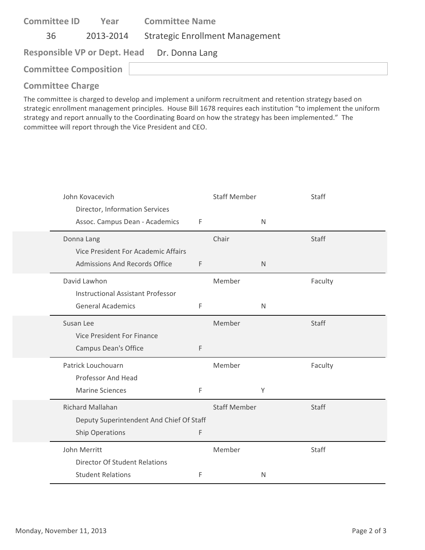| Year | <b>Committee Name</b>                       |
|------|---------------------------------------------|
|      | <b>Strategic Enrollment Management</b>      |
|      | Responsible VP or Dept. Head Dr. Donna Lang |
|      |                                             |
|      | 2013-2014<br><b>Committee Composition</b>   |

The committee is charged to develop and implement a uniform recruitment and retention strategy based on strategic enrollment management principles. House Bill 1678 requires each institution "to implement the uniform strategy and report annually to the Coordinating Board on how the strategy has been implemented." The committee will report through the Vice President and CEO.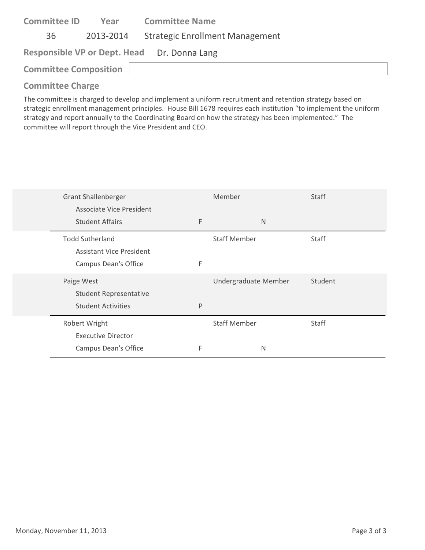| <b>Committee ID</b><br>Year                 | <b>Committee Name</b>                  |
|---------------------------------------------|----------------------------------------|
| 36<br>2013-2014                             | <b>Strategic Enrollment Management</b> |
| Responsible VP or Dept. Head Dr. Donna Lang |                                        |
| <b>Committee Composition</b>                |                                        |

The committee is charged to develop and implement a uniform recruitment and retention strategy based on strategic enrollment management principles. House Bill 1678 requires each institution "to implement the uniform strategy and report annually to the Coordinating Board on how the strategy has been implemented." The committee will report through the Vice President and CEO.

| <b>Grant Shallenberger</b>    |   | Member               | Staff        |
|-------------------------------|---|----------------------|--------------|
| Associate Vice President      |   |                      |              |
| <b>Student Affairs</b>        | F | N                    |              |
| <b>Todd Sutherland</b>        |   | <b>Staff Member</b>  | <b>Staff</b> |
| Assistant Vice President      |   |                      |              |
| Campus Dean's Office          | F |                      |              |
|                               |   |                      |              |
| Paige West                    |   | Undergraduate Member | Student      |
| <b>Student Representative</b> |   |                      |              |
| <b>Student Activities</b>     | P |                      |              |
| Robert Wright                 |   | <b>Staff Member</b>  | <b>Staff</b> |
| <b>Executive Director</b>     |   |                      |              |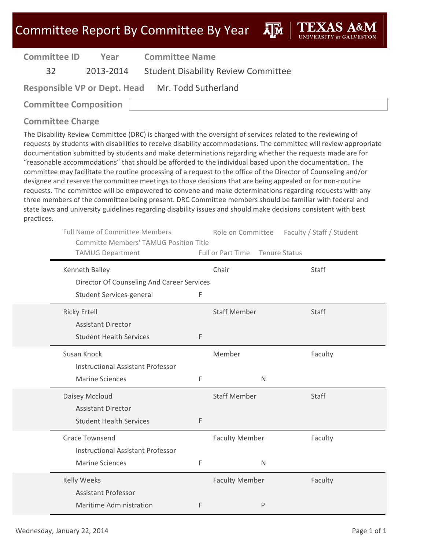| <b>Committee ID</b> | Year      | <b>Committee Name</b>                            |
|---------------------|-----------|--------------------------------------------------|
| -32 ·               | 2013-2014 | <b>Student Disability Review Committee</b>       |
|                     |           | Responsible VP or Dept. Head Mr. Todd Sutherland |

**Committee Composition**

### **Committee Charge**

The Disability Review Committee (DRC) is charged with the oversight of services related to the reviewing of requests by students with disabilities to receive disability accommodations. The committee will review appropriate documentation submitted by students and make determinations regarding whether the requests made are for "reasonable accommodations" that should be afforded to the individual based upon the documentation. The committee may facilitate the routine processing of a request to the office of the Director of Counseling and/or designee and reserve the committee meetings to those decisions that are being appealed or for non-routine requests. The committee will be empowered to convene and make determinations regarding requests with any three members of the committee being present. DRC Committee members should be familiar with federal and state laws and university guidelines regarding disability issues and should make decisions consistent with best practices.

| <b>Full Name of Committee Members</b><br><b>Committe Members' TAMUG Position Title</b><br><b>TAMUG Department</b> |   | Role on Committee<br>Full or Part Time Tenure Status | Faculty / Staff / Student |
|-------------------------------------------------------------------------------------------------------------------|---|------------------------------------------------------|---------------------------|
| Kenneth Bailey                                                                                                    |   | Chair                                                | Staff                     |
| Director Of Counseling And Career Services                                                                        |   |                                                      |                           |
| Student Services-general                                                                                          | F |                                                      |                           |
| <b>Ricky Ertell</b>                                                                                               |   | <b>Staff Member</b>                                  | <b>Staff</b>              |
| <b>Assistant Director</b>                                                                                         |   |                                                      |                           |
| <b>Student Health Services</b>                                                                                    | F |                                                      |                           |
| Susan Knock                                                                                                       |   | Member                                               | Faculty                   |
| <b>Instructional Assistant Professor</b>                                                                          |   |                                                      |                           |
| <b>Marine Sciences</b>                                                                                            | F | N                                                    |                           |
| Daisey Mccloud                                                                                                    |   | <b>Staff Member</b>                                  | Staff                     |
| <b>Assistant Director</b>                                                                                         |   |                                                      |                           |
| <b>Student Health Services</b>                                                                                    | F |                                                      |                           |
| <b>Grace Townsend</b>                                                                                             |   | <b>Faculty Member</b>                                | Faculty                   |
| <b>Instructional Assistant Professor</b>                                                                          |   |                                                      |                           |
| <b>Marine Sciences</b>                                                                                            | F | N                                                    |                           |
| <b>Kelly Weeks</b>                                                                                                |   | <b>Faculty Member</b>                                | Faculty                   |
| <b>Assistant Professor</b>                                                                                        |   |                                                      |                           |
| <b>Maritime Administration</b>                                                                                    | F | $\mathsf{P}$                                         |                           |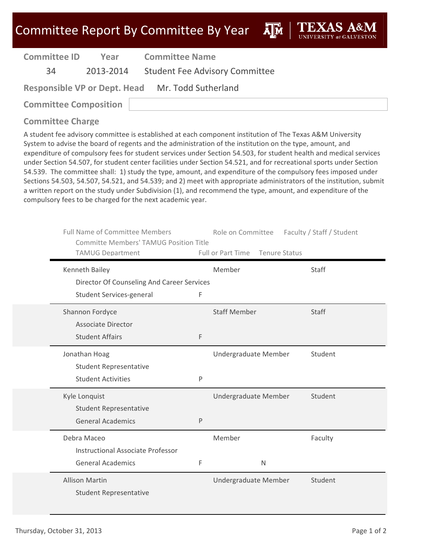ĀlĀ

| <b>Committee ID</b> | Year      | <b>Committee Name</b>                 |
|---------------------|-----------|---------------------------------------|
| 34                  | 2013-2014 | <b>Student Fee Advisory Committee</b> |

**Responsible VP or Dept. Head** Mr. Todd Sutherland

**Committee Composition**

### **Committee Charge**

A student fee advisory committee is established at each component institution of The Texas A&M University System to advise the board of regents and the administration of the institution on the type, amount, and expenditure of compulsory fees for student services under Section 54.503, for student health and medical services under Section 54.507, for student center facilities under Section 54.521, and for recreational sports under Section 54.539. The committee shall: 1) study the type, amount, and expenditure of the compulsory fees imposed under Sections 54.503, 54.507, 54.521, and 54.539; and 2) meet with appropriate administrators of the institution, submit a written report on the study under Subdivision (1), and recommend the type, amount, and expenditure of the compulsory fees to be charged for the next academic year.

| <b>Full Name of Committee Members</b><br><b>Committe Members' TAMUG Position Title</b><br><b>TAMUG Department</b> |   | Role on Committee<br>Full or Part Time Tenure Status | Faculty / Staff / Student |
|-------------------------------------------------------------------------------------------------------------------|---|------------------------------------------------------|---------------------------|
| Kenneth Bailey                                                                                                    |   | Member                                               | <b>Staff</b>              |
| Director Of Counseling And Career Services                                                                        |   |                                                      |                           |
| Student Services-general                                                                                          | F |                                                      |                           |
| Shannon Fordyce                                                                                                   |   | <b>Staff Member</b>                                  | Staff                     |
| <b>Associate Director</b>                                                                                         |   |                                                      |                           |
| <b>Student Affairs</b>                                                                                            | F |                                                      |                           |
| Jonathan Hoag                                                                                                     |   | Undergraduate Member                                 | Student                   |
| <b>Student Representative</b>                                                                                     |   |                                                      |                           |
| <b>Student Activities</b>                                                                                         | P |                                                      |                           |
| Kyle Lonquist                                                                                                     |   | Undergraduate Member                                 | Student                   |
| <b>Student Representative</b>                                                                                     |   |                                                      |                           |
| <b>General Academics</b>                                                                                          | P |                                                      |                           |
| Debra Maceo                                                                                                       |   | Member                                               | Faculty                   |
| <b>Instructional Associate Professor</b>                                                                          |   |                                                      |                           |
| <b>General Academics</b>                                                                                          | F | $\mathsf{N}$                                         |                           |
| <b>Allison Martin</b>                                                                                             |   | Undergraduate Member                                 | Student                   |
| <b>Student Representative</b>                                                                                     |   |                                                      |                           |
|                                                                                                                   |   |                                                      |                           |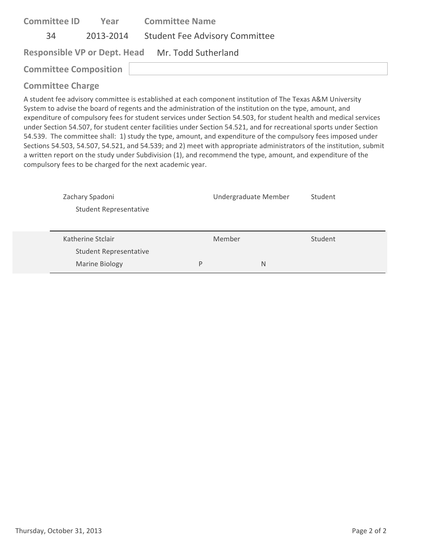| <b>Committee ID</b>          | Year      | <b>Committee Name</b>                            |
|------------------------------|-----------|--------------------------------------------------|
| 34                           | 2013-2014 | <b>Student Fee Advisory Committee</b>            |
|                              |           | Responsible VP or Dept. Head Mr. Todd Sutherland |
| <b>Committee Composition</b> |           |                                                  |
| Arrested to Alexander        |           |                                                  |

A student fee advisory committee is established at each component institution of The Texas A&M University System to advise the board of regents and the administration of the institution on the type, amount, and expenditure of compulsory fees for student services under Section 54.503, for student health and medical services under Section 54.507, for student center facilities under Section 54.521, and for recreational sports under Section 54.539. The committee shall: 1) study the type, amount, and expenditure of the compulsory fees imposed under Sections 54.503, 54.507, 54.521, and 54.539; and 2) meet with appropriate administrators of the institution, submit a written report on the study under Subdivision (1), and recommend the type, amount, and expenditure of the compulsory fees to be charged for the next academic year.

| Zachary Spadoni               |   | Undergraduate Member | Student |
|-------------------------------|---|----------------------|---------|
| <b>Student Representative</b> |   |                      |         |
|                               |   |                      |         |
| Katherine Stclair             |   | Member               | Student |
|                               |   |                      |         |
| <b>Student Representative</b> |   |                      |         |
| <b>Marine Biology</b>         | P | N                    |         |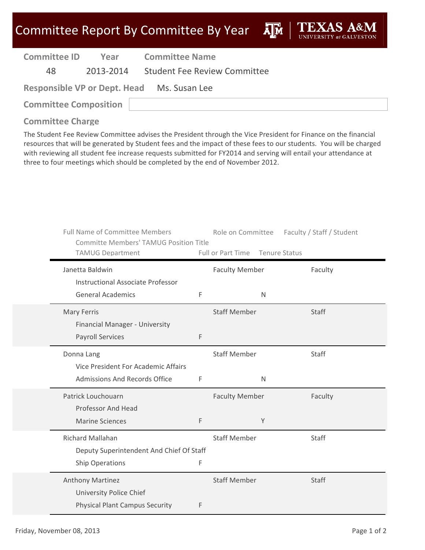ДÑ

| <b>Committee ID</b> | Year      | <b>Committee Name</b>                      |
|---------------------|-----------|--------------------------------------------|
| 48.                 | 2013-2014 | <b>Student Fee Review Committee</b>        |
|                     |           | Responsible VP or Dept. Head Ms. Susan Lee |

**Committee Composition**

### **Committee Charge**

The Student Fee Review Committee advises the President through the Vice President for Finance on the financial resources that will be generated by Student fees and the impact of these fees to our students. You will be charged with reviewing all student fee increase requests submitted for FY2014 and serving will entail your attendance at three to four meetings which should be completed by the end of November 2012.

| <b>Full Name of Committee Members</b><br><b>Committe Members' TAMUG Position Title</b><br><b>TAMUG Department</b> |             | Role on Committee<br>Full or Part Time | Tenure Status | Faculty / Staff / Student |
|-------------------------------------------------------------------------------------------------------------------|-------------|----------------------------------------|---------------|---------------------------|
| Janetta Baldwin                                                                                                   |             | <b>Faculty Member</b>                  |               | Faculty                   |
| <b>Instructional Associate Professor</b><br><b>General Academics</b>                                              | F           |                                        | N             |                           |
| <b>Mary Ferris</b><br>Financial Manager - University                                                              |             | <b>Staff Member</b>                    |               | <b>Staff</b>              |
| <b>Payroll Services</b>                                                                                           | $\mathsf F$ |                                        |               |                           |
| Donna Lang<br>Vice President For Academic Affairs                                                                 |             | <b>Staff Member</b>                    |               | <b>Staff</b>              |
| <b>Admissions And Records Office</b>                                                                              | $\mathsf F$ |                                        | $\mathsf{N}$  |                           |
| Patrick Louchouarn<br>Professor And Head                                                                          |             | <b>Faculty Member</b>                  |               | Faculty                   |
| <b>Marine Sciences</b>                                                                                            | F           |                                        | Y             |                           |
| Richard Mallahan<br>Deputy Superintendent And Chief Of Staff                                                      |             | <b>Staff Member</b>                    |               | Staff                     |
| <b>Ship Operations</b>                                                                                            | F           |                                        |               |                           |
| Anthony Martinez<br><b>University Police Chief</b>                                                                |             | <b>Staff Member</b>                    |               | Staff                     |
| <b>Physical Plant Campus Security</b>                                                                             | F           |                                        |               |                           |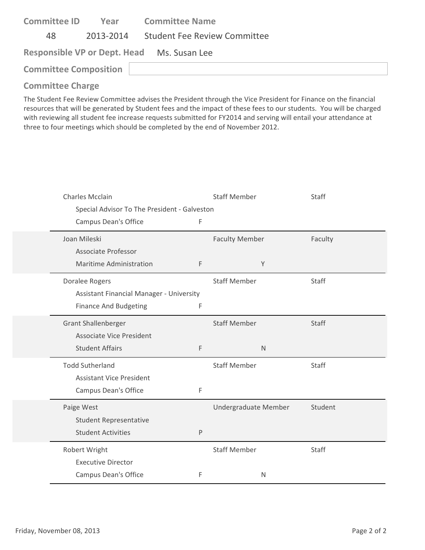| <b>Committee ID</b>                        | Year      | <b>Committee Name</b>        |  |  |  |
|--------------------------------------------|-----------|------------------------------|--|--|--|
| 48                                         | 2013-2014 | Student Fee Review Committee |  |  |  |
| Responsible VP or Dept. Head Ms. Susan Lee |           |                              |  |  |  |
| <b>Committee Composition</b>               |           |                              |  |  |  |

The Student Fee Review Committee advises the President through the Vice President for Finance on the financial resources that will be generated by Student fees and the impact of these fees to our students. You will be charged with reviewing all student fee increase requests submitted for FY2014 and serving will entail your attendance at three to four meetings which should be completed by the end of November 2012.

| <b>Charles Mcclain</b>                       |   | <b>Staff Member</b>   | Staff        |
|----------------------------------------------|---|-----------------------|--------------|
| Special Advisor To The President - Galveston |   |                       |              |
| Campus Dean's Office                         | F |                       |              |
| Joan Mileski                                 |   | <b>Faculty Member</b> | Faculty      |
| <b>Associate Professor</b>                   |   |                       |              |
| Maritime Administration                      | F | Υ                     |              |
| Doralee Rogers                               |   | <b>Staff Member</b>   | Staff        |
| Assistant Financial Manager - University     |   |                       |              |
| <b>Finance And Budgeting</b>                 | F |                       |              |
| <b>Grant Shallenberger</b>                   |   | <b>Staff Member</b>   | <b>Staff</b> |
| <b>Associate Vice President</b>              |   |                       |              |
| <b>Student Affairs</b>                       | F | $\mathsf{N}$          |              |
| <b>Todd Sutherland</b>                       |   | <b>Staff Member</b>   | <b>Staff</b> |
| <b>Assistant Vice President</b>              |   |                       |              |
| <b>Campus Dean's Office</b>                  | F |                       |              |
| Paige West                                   |   | Undergraduate Member  | Student      |
| <b>Student Representative</b>                |   |                       |              |
| <b>Student Activities</b>                    | P |                       |              |
| Robert Wright                                |   | <b>Staff Member</b>   | <b>Staff</b> |
| <b>Executive Director</b>                    |   |                       |              |
| <b>Campus Dean's Office</b>                  | F | $\mathsf{N}$          |              |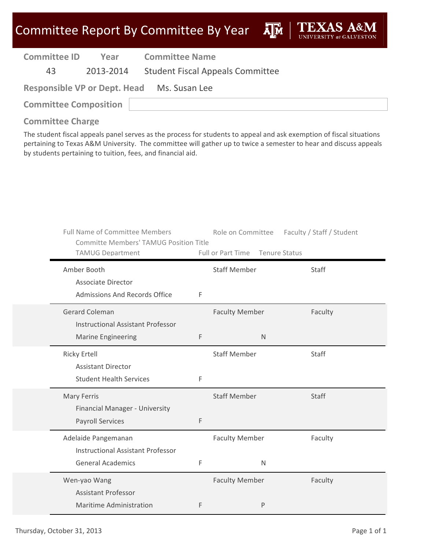| <b>Committee ID</b>                        | Year      | <b>Committee Name</b>                   |  |  |  |
|--------------------------------------------|-----------|-----------------------------------------|--|--|--|
| 43                                         | 2013-2014 | <b>Student Fiscal Appeals Committee</b> |  |  |  |
| Responsible VP or Dept. Head Ms. Susan Lee |           |                                         |  |  |  |
| <b>Committee Composition</b>               |           |                                         |  |  |  |

#### **Committee Charge**

The student fiscal appeals panel serves as the process for students to appeal and ask exemption of fiscal situations pertaining to Texas A&M University. The committee will gather up to twice a semester to hear and discuss appeals by students pertaining to tuition, fees, and financial aid.

| <b>Full Name of Committee Members</b><br><b>Committe Members' TAMUG Position Title</b><br><b>TAMUG Department</b> |   | Role on Committee<br>Full or Part Time<br>Tenure Status | Faculty / Staff / Student |
|-------------------------------------------------------------------------------------------------------------------|---|---------------------------------------------------------|---------------------------|
| Amber Booth<br><b>Associate Director</b>                                                                          |   | <b>Staff Member</b>                                     | Staff                     |
| <b>Admissions And Records Office</b>                                                                              | F |                                                         |                           |
| <b>Gerard Coleman</b><br><b>Instructional Assistant Professor</b>                                                 |   | <b>Faculty Member</b>                                   | Faculty                   |
| <b>Marine Engineering</b>                                                                                         | F | $\mathsf{N}$                                            |                           |
| <b>Ricky Ertell</b><br><b>Assistant Director</b>                                                                  |   | <b>Staff Member</b>                                     | <b>Staff</b>              |
| <b>Student Health Services</b>                                                                                    | F |                                                         |                           |
| <b>Mary Ferris</b><br>Financial Manager - University                                                              |   | <b>Staff Member</b>                                     | <b>Staff</b>              |
| <b>Payroll Services</b>                                                                                           | F |                                                         |                           |
| Adelaide Pangemanan<br><b>Instructional Assistant Professor</b>                                                   |   | <b>Faculty Member</b>                                   | Faculty                   |
| <b>General Academics</b>                                                                                          | F | $\mathsf{N}$                                            |                           |
| Wen-yao Wang<br><b>Assistant Professor</b>                                                                        |   | <b>Faculty Member</b>                                   | Faculty                   |
| <b>Maritime Administration</b>                                                                                    | F | P                                                       |                           |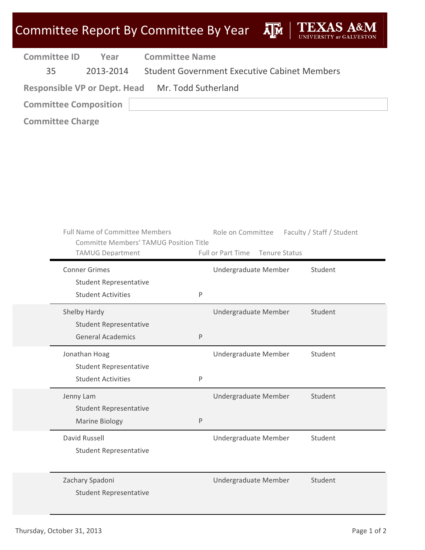|                           |                                                            | <b>Committee Report By Committee By Year</b>  |         |                                                     | Āļм                  | TEXA                      |  |
|---------------------------|------------------------------------------------------------|-----------------------------------------------|---------|-----------------------------------------------------|----------------------|---------------------------|--|
| <b>Committee ID</b><br>35 | Year<br>2013-2014                                          | <b>Committee Name</b>                         |         | <b>Student Government Executive Cabinet Members</b> |                      |                           |  |
|                           | <b>Responsible VP or Dept. Head</b>                        | Mr. Todd Sutherland                           |         |                                                     |                      |                           |  |
|                           | <b>Committee Composition</b>                               |                                               |         |                                                     |                      |                           |  |
| <b>Committee Charge</b>   |                                                            |                                               |         |                                                     |                      |                           |  |
|                           |                                                            |                                               |         |                                                     |                      |                           |  |
|                           |                                                            |                                               |         |                                                     |                      |                           |  |
|                           |                                                            |                                               |         |                                                     |                      |                           |  |
|                           |                                                            |                                               |         |                                                     |                      |                           |  |
|                           |                                                            |                                               |         |                                                     |                      |                           |  |
|                           |                                                            |                                               |         |                                                     |                      |                           |  |
|                           | <b>Full Name of Committee Members</b>                      |                                               |         | Role on Committee                                   |                      | Faculty / Staff / Student |  |
|                           |                                                            | <b>Committe Members' TAMUG Position Title</b> |         |                                                     |                      |                           |  |
| <b>TAMUG Department</b>   |                                                            |                                               |         | Full or Part Time                                   | <b>Tenure Status</b> |                           |  |
|                           | <b>Conner Grimes</b>                                       |                                               |         | Undergraduate Member                                |                      | Student                   |  |
|                           | <b>Student Representative</b><br><b>Student Activities</b> |                                               | $\sf P$ |                                                     |                      |                           |  |
|                           |                                                            |                                               |         |                                                     |                      |                           |  |
| Shelby Hardy              | <b>Student Representative</b>                              |                                               |         | Undergraduate Member                                |                      | Student                   |  |
|                           | <b>General Academics</b>                                   |                                               | P       |                                                     |                      |                           |  |
|                           | Jonathan Hoag                                              |                                               |         | Undergraduate Member                                |                      | Student                   |  |
|                           | <b>Student Representative</b>                              |                                               |         |                                                     |                      |                           |  |
|                           | <b>Student Activities</b>                                  |                                               | $\sf P$ |                                                     |                      |                           |  |
| Jenny Lam                 |                                                            |                                               |         | Undergraduate Member                                |                      | Student                   |  |
|                           | <b>Student Representative</b>                              |                                               |         |                                                     |                      |                           |  |
|                           | <b>Marine Biology</b>                                      |                                               | $\sf P$ |                                                     |                      |                           |  |
| David Russell             |                                                            |                                               |         | Undergraduate Member                                |                      | Student                   |  |
|                           | <b>Student Representative</b>                              |                                               |         |                                                     |                      |                           |  |
|                           |                                                            |                                               |         |                                                     |                      |                           |  |
|                           | Zachary Spadoni                                            |                                               |         | Undergraduate Member                                |                      | Student                   |  |
|                           | <b>Student Representative</b>                              |                                               |         |                                                     |                      |                           |  |
|                           |                                                            |                                               |         |                                                     |                      |                           |  |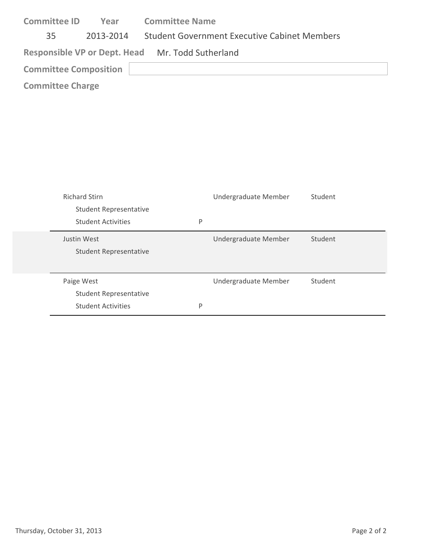| <b>Committee ID</b>                              | Year      | <b>Committee Name</b>                               |  |  |  |
|--------------------------------------------------|-----------|-----------------------------------------------------|--|--|--|
| 35                                               | 2013-2014 | <b>Student Government Executive Cabinet Members</b> |  |  |  |
| Responsible VP or Dept. Head Mr. Todd Sutherland |           |                                                     |  |  |  |
| <b>Committee Composition</b>                     |           |                                                     |  |  |  |
| <b>Committee Charge</b>                          |           |                                                     |  |  |  |

| <b>Richard Stirn</b><br><b>Student Representative</b> |   | Undergraduate Member | Student |
|-------------------------------------------------------|---|----------------------|---------|
| <b>Student Activities</b>                             | P |                      |         |
| Justin West<br><b>Student Representative</b>          |   | Undergraduate Member | Student |
| Paige West<br><b>Student Representative</b>           |   | Undergraduate Member | Student |
| <b>Student Activities</b>                             | P |                      |         |

 $\overline{\phantom{0}}$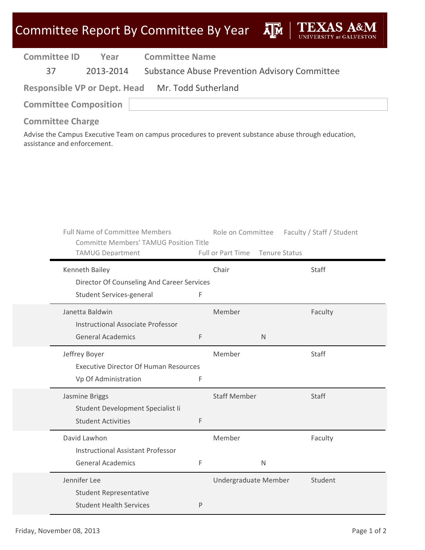# Committee Report By Committee By Year AM TEXAS A&M

| <b>Committee ID</b><br>Year                                                                         | <b>Committee Name</b>                        |                     |                      |                                                      |  |
|-----------------------------------------------------------------------------------------------------|----------------------------------------------|---------------------|----------------------|------------------------------------------------------|--|
| 2013-2014<br>37                                                                                     |                                              |                     |                      | <b>Substance Abuse Prevention Advisory Committee</b> |  |
| <b>Responsible VP or Dept. Head</b>                                                                 |                                              | Mr. Todd Sutherland |                      |                                                      |  |
| <b>Committee Composition</b>                                                                        |                                              |                     |                      |                                                      |  |
| <b>Committee Charge</b>                                                                             |                                              |                     |                      |                                                      |  |
| Advise the Campus Executive Team on campus procedures to prevent substance abuse through education, |                                              |                     |                      |                                                      |  |
| assistance and enforcement.                                                                         |                                              |                     |                      |                                                      |  |
|                                                                                                     |                                              |                     |                      |                                                      |  |
|                                                                                                     |                                              |                     |                      |                                                      |  |
|                                                                                                     |                                              |                     |                      |                                                      |  |
|                                                                                                     |                                              |                     |                      |                                                      |  |
| <b>Full Name of Committee Members</b>                                                               |                                              |                     | Role on Committee    | Faculty / Staff / Student                            |  |
| <b>Committe Members' TAMUG Position Title</b>                                                       |                                              |                     |                      |                                                      |  |
| <b>TAMUG Department</b>                                                                             |                                              | Full or Part Time   | <b>Tenure Status</b> |                                                      |  |
| Kenneth Bailey                                                                                      |                                              | Chair               |                      | Staff                                                |  |
| <b>Student Services-general</b>                                                                     | Director Of Counseling And Career Services   | F                   |                      |                                                      |  |
|                                                                                                     |                                              |                     |                      |                                                      |  |
|                                                                                                     |                                              |                     |                      |                                                      |  |
| Janetta Baldwin                                                                                     |                                              | Member              |                      | Faculty                                              |  |
| <b>General Academics</b>                                                                            | <b>Instructional Associate Professor</b>     | F                   | N                    |                                                      |  |
|                                                                                                     |                                              |                     |                      |                                                      |  |
| Jeffrey Boyer                                                                                       | <b>Executive Director Of Human Resources</b> | Member              |                      | Staff                                                |  |
| Vp Of Administration                                                                                |                                              | F                   |                      |                                                      |  |
| Jasmine Briggs                                                                                      |                                              | <b>Staff Member</b> |                      | Staff                                                |  |
|                                                                                                     | Student Development Specialist Ii            |                     |                      |                                                      |  |
| <b>Student Activities</b>                                                                           |                                              | F                   |                      |                                                      |  |
| David Lawhon                                                                                        |                                              | Member              |                      | Faculty                                              |  |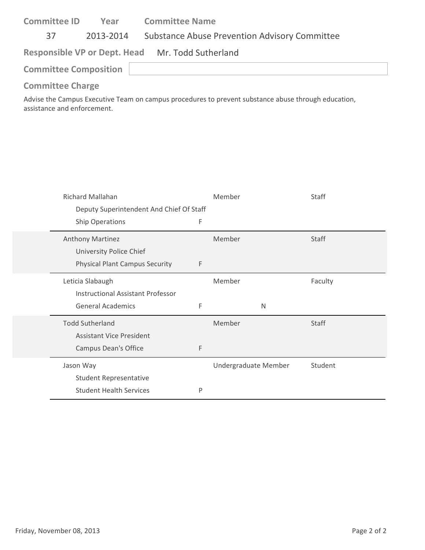| <b>Committee ID</b>                              | Year      | <b>Committee Name</b>                                |  |  |  |
|--------------------------------------------------|-----------|------------------------------------------------------|--|--|--|
| 37                                               | 2013-2014 | <b>Substance Abuse Prevention Advisory Committee</b> |  |  |  |
| Responsible VP or Dept. Head Mr. Todd Sutherland |           |                                                      |  |  |  |
| <b>Committee Composition</b>                     |           |                                                      |  |  |  |
| <b>Committee Charge</b>                          |           |                                                      |  |  |  |

Advise the Campus Executive Team on campus procedures to prevent substance abuse through education, assistance and enforcement.

| Richard Mallahan<br>Deputy Superintendent And Chief Of Staff                 |   | Member               | Staff   |
|------------------------------------------------------------------------------|---|----------------------|---------|
| Ship Operations                                                              | F |                      |         |
| Anthony Martinez<br>University Police Chief                                  |   | Member               | Staff   |
| <b>Physical Plant Campus Security</b>                                        | F |                      |         |
| Leticia Slabaugh<br><b>Instructional Assistant Professor</b>                 |   | Member               | Faculty |
| <b>General Academics</b>                                                     | F | N                    |         |
| <b>Todd Sutherland</b><br><b>Assistant Vice President</b>                    |   | Member               | Staff   |
| Campus Dean's Office                                                         | F |                      |         |
| Jason Way<br><b>Student Representative</b><br><b>Student Health Services</b> | P | Undergraduate Member | Student |
|                                                                              |   |                      |         |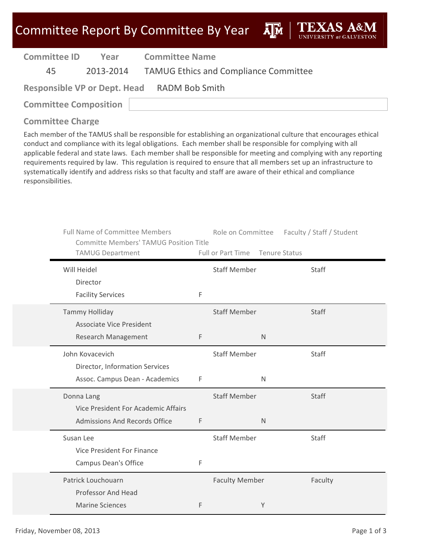ĀĪм

| <b>Committee ID</b>                         | Year | <b>Committee Name</b>                           |  |  |  |  |
|---------------------------------------------|------|-------------------------------------------------|--|--|--|--|
| 45                                          |      | 2013-2014 TAMUG Ethics and Compliance Committee |  |  |  |  |
| Responsible VP or Dept. Head RADM Bob Smith |      |                                                 |  |  |  |  |
| <b>Committee Composition</b>                |      |                                                 |  |  |  |  |

#### **Committee Charge**

Each member of the TAMUS shall be responsible for establishing an organizational culture that encourages ethical conduct and compliance with its legal obligations. Each member shall be responsible for complying with all applicable federal and state laws. Each member shall be responsible for meeting and complying with any reporting requirements required by law. This regulation is required to ensure that all members set up an infrastructure to systematically identify and address risks so that faculty and staff are aware of their ethical and compliance responsibilities.

| <b>Full Name of Committee Members</b><br><b>Committe Members' TAMUG Position Title</b> |   | Role on Committee     | Faculty / Staff / Student |
|----------------------------------------------------------------------------------------|---|-----------------------|---------------------------|
| TAMUG Department                                                                       |   | Full or Part Time     | Tenure Status             |
| Will Heidel                                                                            |   | <b>Staff Member</b>   | Staff                     |
| Director                                                                               |   |                       |                           |
| <b>Facility Services</b>                                                               | F |                       |                           |
| <b>Tammy Holliday</b>                                                                  |   | <b>Staff Member</b>   | Staff                     |
| <b>Associate Vice President</b>                                                        |   |                       |                           |
| Research Management                                                                    | F | N                     |                           |
| John Kovacevich                                                                        |   | <b>Staff Member</b>   | Staff                     |
| Director, Information Services                                                         |   |                       |                           |
| Assoc. Campus Dean - Academics                                                         | F | $\mathsf{N}$          |                           |
| Donna Lang                                                                             |   | <b>Staff Member</b>   | Staff                     |
| Vice President For Academic Affairs                                                    |   |                       |                           |
| Admissions And Records Office                                                          | F | $\mathsf{N}$          |                           |
| Susan Lee                                                                              |   | <b>Staff Member</b>   | Staff                     |
| Vice President For Finance                                                             |   |                       |                           |
| Campus Dean's Office                                                                   | F |                       |                           |
| Patrick Louchouarn                                                                     |   | <b>Faculty Member</b> | Faculty                   |
| Professor And Head                                                                     |   |                       |                           |
| <b>Marine Sciences</b>                                                                 | F | Υ                     |                           |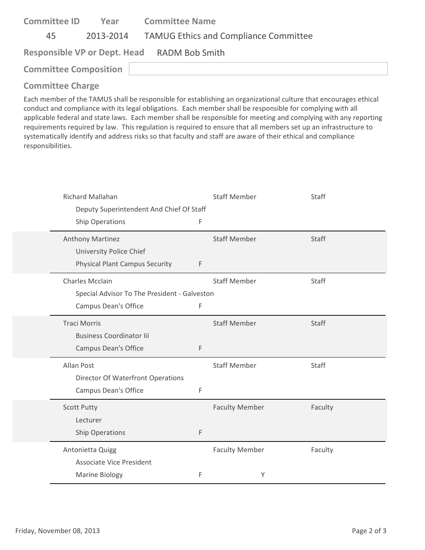| <b>Committee ID</b>                         | Year | <b>Committee Name</b>                           |  |  |  |
|---------------------------------------------|------|-------------------------------------------------|--|--|--|
| 45                                          |      | 2013-2014 TAMUG Ethics and Compliance Committee |  |  |  |
| Responsible VP or Dept. Head RADM Bob Smith |      |                                                 |  |  |  |
| <b>Committee Composition</b>                |      |                                                 |  |  |  |
|                                             |      |                                                 |  |  |  |

Each member of the TAMUS shall be responsible for establishing an organizational culture that encourages ethical conduct and compliance with its legal obligations. Each member shall be responsible for complying with all applicable federal and state laws. Each member shall be responsible for meeting and complying with any reporting requirements required by law. This regulation is required to ensure that all members set up an infrastructure to systematically identify and address risks so that faculty and staff are aware of their ethical and compliance responsibilities.

| Richard Mallahan<br>Deputy Superintendent And Chief Of Staff |             | <b>Staff Member</b>   | Staff        |
|--------------------------------------------------------------|-------------|-----------------------|--------------|
| <b>Ship Operations</b>                                       | F           |                       |              |
| <b>Anthony Martinez</b>                                      |             | <b>Staff Member</b>   | Staff        |
| University Police Chief                                      |             |                       |              |
| <b>Physical Plant Campus Security</b>                        | F           |                       |              |
| <b>Charles Mcclain</b>                                       |             | <b>Staff Member</b>   | <b>Staff</b> |
| Special Advisor To The President - Galveston                 |             |                       |              |
| <b>Campus Dean's Office</b>                                  | F           |                       |              |
| <b>Traci Morris</b>                                          |             | <b>Staff Member</b>   | <b>Staff</b> |
| <b>Business Coordinator lii</b>                              |             |                       |              |
| Campus Dean's Office                                         | F           |                       |              |
| <b>Allan Post</b>                                            |             | <b>Staff Member</b>   | Staff        |
| <b>Director Of Waterfront Operations</b>                     |             |                       |              |
| <b>Campus Dean's Office</b>                                  | F           |                       |              |
| <b>Scott Putty</b>                                           |             | <b>Faculty Member</b> | Faculty      |
| Lecturer                                                     |             |                       |              |
| <b>Ship Operations</b>                                       | $\mathsf F$ |                       |              |
| Antonietta Quigg                                             |             | <b>Faculty Member</b> | Faculty      |
| <b>Associate Vice President</b>                              |             |                       |              |
| Marine Biology                                               | F           | Υ                     |              |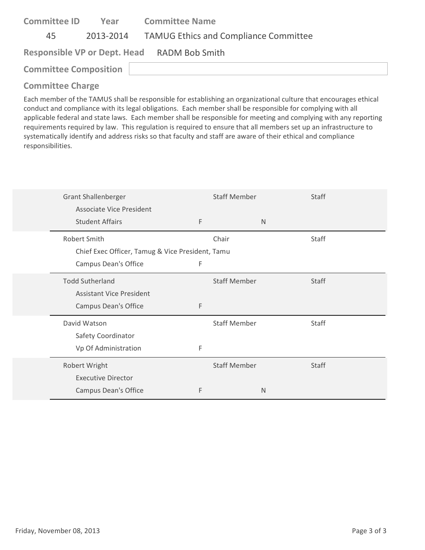| <b>Committee ID</b>          | Year      | <b>Committee Name</b>                        |
|------------------------------|-----------|----------------------------------------------|
| 45                           | 2013-2014 | <b>TAMUG Ethics and Compliance Committee</b> |
|                              |           | Responsible VP or Dept. Head RADM Bob Smith  |
| <b>Committee Composition</b> |           |                                              |
|                              |           |                                              |

Each member of the TAMUS shall be responsible for establishing an organizational culture that encourages ethical conduct and compliance with its legal obligations. Each member shall be responsible for complying with all applicable federal and state laws. Each member shall be responsible for meeting and complying with any reporting requirements required by law. This regulation is required to ensure that all members set up an infrastructure to systematically identify and address risks so that faculty and staff are aware of their ethical and compliance responsibilities.

| <b>Grant Shallenberger</b>                       |   | <b>Staff Member</b> |              | <b>Staff</b> |
|--------------------------------------------------|---|---------------------|--------------|--------------|
| Associate Vice President                         |   |                     |              |              |
| <b>Student Affairs</b>                           | F |                     | $\mathsf{N}$ |              |
| Robert Smith                                     |   | Chair               |              | Staff        |
| Chief Exec Officer, Tamug & Vice President, Tamu |   |                     |              |              |
| Campus Dean's Office                             | F |                     |              |              |
| <b>Todd Sutherland</b>                           |   | <b>Staff Member</b> |              | <b>Staff</b> |
| <b>Assistant Vice President</b>                  |   |                     |              |              |
| Campus Dean's Office                             | F |                     |              |              |
| David Watson                                     |   | <b>Staff Member</b> |              | Staff        |
| Safety Coordinator                               |   |                     |              |              |
| Vp Of Administration                             | F |                     |              |              |
| Robert Wright                                    |   | <b>Staff Member</b> |              | <b>Staff</b> |
| <b>Executive Director</b>                        |   |                     |              |              |
| Campus Dean's Office                             | F |                     | N            |              |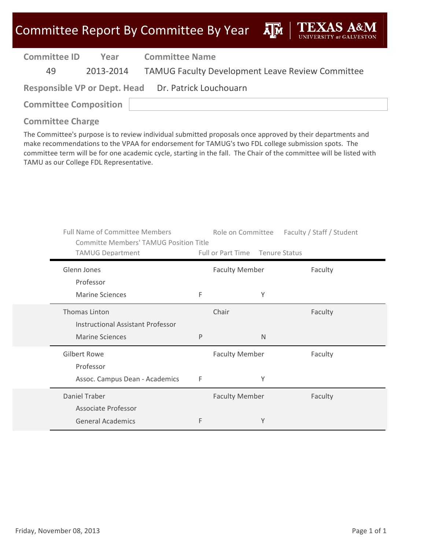

| <b>Committee ID</b>                                 | Year | <b>Committee Name</b>                                      |  |  |
|-----------------------------------------------------|------|------------------------------------------------------------|--|--|
| 49.                                                 |      | 2013-2014 TAMUG Faculty Development Leave Review Committee |  |  |
| Responsible VP or Dept. Head Dr. Patrick Louchouarn |      |                                                            |  |  |
| <b>Committee Composition</b>                        |      |                                                            |  |  |

#### **Committee Charge**

The Committee's purpose is to review individual submitted proposals once approved by their departments and make recommendations to the VPAA for endorsement for TAMUG's two FDL college submission spots. The committee term will be for one academic cycle, starting in the fall. The Chair of the committee will be listed with TAMU as our College FDL Representative.

| <b>Full Name of Committee Members</b><br><b>Committe Members' TAMUG Position Title</b><br><b>TAMUG Department</b> |   | Full or Part Time     | Role on Committee Faculty / Staff / Student<br><b>Tenure Status</b> |
|-------------------------------------------------------------------------------------------------------------------|---|-----------------------|---------------------------------------------------------------------|
| Glenn Jones                                                                                                       |   | <b>Faculty Member</b> | Faculty                                                             |
| Professor                                                                                                         |   |                       |                                                                     |
| <b>Marine Sciences</b>                                                                                            | F | Y                     |                                                                     |
| Thomas Linton                                                                                                     |   | Chair                 | Faculty                                                             |
| <b>Instructional Assistant Professor</b>                                                                          |   |                       |                                                                     |
| <b>Marine Sciences</b>                                                                                            | P | N                     |                                                                     |
| <b>Gilbert Rowe</b>                                                                                               |   | <b>Faculty Member</b> | Faculty                                                             |
| Professor                                                                                                         |   |                       |                                                                     |
| Assoc. Campus Dean - Academics                                                                                    | F | Υ                     |                                                                     |
| Daniel Traber                                                                                                     |   | <b>Faculty Member</b> | Faculty                                                             |
| Associate Professor                                                                                               |   |                       |                                                                     |
| <b>General Academics</b>                                                                                          | F | Y                     |                                                                     |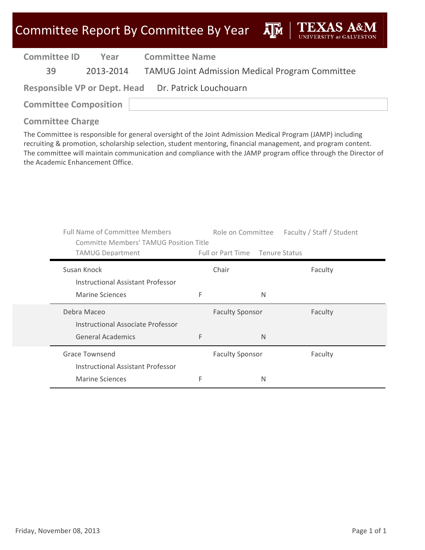**A**<sup>M</sup>

| <b>Committee ID</b>                                 | Year      | <b>Committee Name</b>                                  |  |  |  |
|-----------------------------------------------------|-----------|--------------------------------------------------------|--|--|--|
| 39                                                  | 2013-2014 | <b>TAMUG Joint Admission Medical Program Committee</b> |  |  |  |
| Responsible VP or Dept. Head Dr. Patrick Louchouarn |           |                                                        |  |  |  |
| <b>Committee Composition</b>                        |           |                                                        |  |  |  |

#### **Committee Charge**

The Committee is responsible for general oversight of the Joint Admission Medical Program (JAMP) including recruiting & promotion, scholarship selection, student mentoring, financial management, and program content. The committee will maintain communication and compliance with the JAMP program office through the Director of the Academic Enhancement Office.

| <b>Full Name of Committee Members</b><br><b>Committe Members' TAMUG Position Title</b> |                                 |   | Role on Committee Faculty / Staff / Student |
|----------------------------------------------------------------------------------------|---------------------------------|---|---------------------------------------------|
| <b>TAMUG Department</b>                                                                | Full or Part Time Tenure Status |   |                                             |
| Susan Knock<br>Instructional Assistant Professor                                       | Chair                           |   | Faculty                                     |
| Marine Sciences                                                                        | F                               | N |                                             |
| Debra Maceo<br>Instructional Associate Professor                                       | <b>Faculty Sponsor</b>          |   | Faculty                                     |
| <b>General Academics</b>                                                               | F                               | N |                                             |
| Grace Townsend<br>Instructional Assistant Professor                                    | <b>Faculty Sponsor</b>          |   | Faculty                                     |
| <b>Marine Sciences</b>                                                                 | F                               | N |                                             |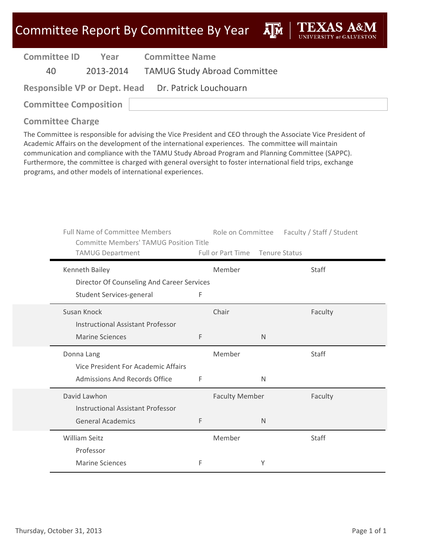**A**M

| <b>Committee ID</b> | Year      | <b>Committee Name</b>                               |  |  |  |
|---------------------|-----------|-----------------------------------------------------|--|--|--|
| 40.                 | 2013-2014 | <b>TAMUG Study Abroad Committee</b>                 |  |  |  |
|                     |           | Responsible VP or Dept. Head Dr. Patrick Louchouarn |  |  |  |

**Committee Composition**

### **Committee Charge**

The Committee is responsible for advising the Vice President and CEO through the Associate Vice President of Academic Affairs on the development of the international experiences. The committee will maintain communication and compliance with the TAMU Study Abroad Program and Planning Committee (SAPPC). Furthermore, the committee is charged with general oversight to foster international field trips, exchange programs, and other models of international experiences.

| <b>Full Name of Committee Members</b><br><b>Committe Members' TAMUG Position Title</b> |   |                                 |              | Role on Committee Faculty / Staff / Student |
|----------------------------------------------------------------------------------------|---|---------------------------------|--------------|---------------------------------------------|
| <b>TAMUG Department</b>                                                                |   | Full or Part Time Tenure Status |              |                                             |
| Kenneth Bailey                                                                         |   | Member                          |              | Staff                                       |
| Director Of Counseling And Career Services                                             |   |                                 |              |                                             |
| Student Services-general                                                               | F |                                 |              |                                             |
| Susan Knock                                                                            |   | Chair                           |              | Faculty                                     |
| Instructional Assistant Professor                                                      |   |                                 |              |                                             |
| <b>Marine Sciences</b>                                                                 | F |                                 | N            |                                             |
| Donna Lang                                                                             |   | Member                          |              | Staff                                       |
| Vice President For Academic Affairs                                                    |   |                                 |              |                                             |
| Admissions And Records Office                                                          | F |                                 | $\mathsf{N}$ |                                             |
| David Lawhon                                                                           |   | <b>Faculty Member</b>           |              | Faculty                                     |
| <b>Instructional Assistant Professor</b>                                               |   |                                 |              |                                             |
| <b>General Academics</b>                                                               | F |                                 | $\mathsf{N}$ |                                             |
| William Seitz                                                                          |   | Member                          |              | Staff                                       |
| Professor                                                                              |   |                                 |              |                                             |
| <b>Marine Sciences</b>                                                                 | F |                                 | Υ            |                                             |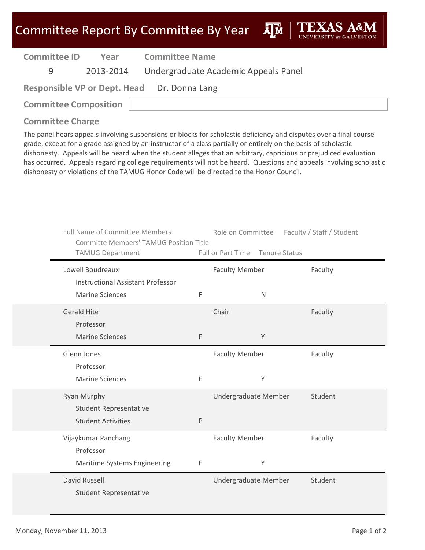| Committee Report By Committee By Year |
|---------------------------------------|
|---------------------------------------|

ĀĪЙ

| <b>Committee ID</b>                         | Year      | <b>Committee Name</b>                |  |  |
|---------------------------------------------|-----------|--------------------------------------|--|--|
| q                                           | 2013-2014 | Undergraduate Academic Appeals Panel |  |  |
| Responsible VP or Dept. Head Dr. Donna Lang |           |                                      |  |  |
| <b>Committee Composition</b>                |           |                                      |  |  |
|                                             |           |                                      |  |  |

#### **Committee Charge**

The panel hears appeals involving suspensions or blocks for scholastic deficiency and disputes over a final course grade, except for a grade assigned by an instructor of a class partially or entirely on the basis of scholastic dishonesty. Appeals will be heard when the student alleges that an arbitrary, capricious or prejudiced evaluation has occurred. Appeals regarding college requirements will not be heard. Questions and appeals involving scholastic dishonesty or violations of the TAMUG Honor Code will be directed to the Honor Council.

| <b>Full Name of Committee Members</b><br><b>Committe Members' TAMUG Position Title</b><br><b>TAMUG Department</b> |   | Role on Committee<br>Full or Part Time | Faculty / Staff / Student<br><b>Tenure Status</b> |  |
|-------------------------------------------------------------------------------------------------------------------|---|----------------------------------------|---------------------------------------------------|--|
| Lowell Boudreaux<br><b>Instructional Assistant Professor</b>                                                      |   | <b>Faculty Member</b>                  | Faculty                                           |  |
| <b>Marine Sciences</b>                                                                                            | F | $\mathsf{N}$                           |                                                   |  |
| <b>Gerald Hite</b><br>Professor                                                                                   |   | Chair                                  | Faculty                                           |  |
| <b>Marine Sciences</b>                                                                                            | F | Y                                      |                                                   |  |
| Glenn Jones<br>Professor<br><b>Marine Sciences</b>                                                                | F | <b>Faculty Member</b><br>Y             | Faculty                                           |  |
| <b>Ryan Murphy</b><br><b>Student Representative</b><br><b>Student Activities</b>                                  | P | Undergraduate Member                   | Student                                           |  |
| Vijaykumar Panchang<br>Professor<br>Maritime Systems Engineering                                                  | F | <b>Faculty Member</b><br>Υ             | Faculty                                           |  |
| David Russell<br><b>Student Representative</b>                                                                    |   | Undergraduate Member                   | Student                                           |  |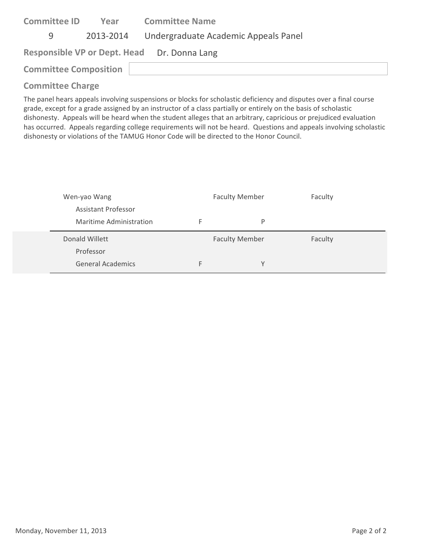| <b>Committee ID</b>          | Year      | <b>Committee Name</b>                       |
|------------------------------|-----------|---------------------------------------------|
| 9                            | 2013-2014 | Undergraduate Academic Appeals Panel        |
|                              |           | Responsible VP or Dept. Head Dr. Donna Lang |
| <b>Committee Composition</b> |           |                                             |
|                              |           |                                             |

#### **Committee Charge**

The panel hears appeals involving suspensions or blocks for scholastic deficiency and disputes over a final course grade, except for a grade assigned by an instructor of a class partially or entirely on the basis of scholastic dishonesty. Appeals will be heard when the student alleges that an arbitrary, capricious or prejudiced evaluation has occurred. Appeals regarding college requirements will not be heard. Questions and appeals involving scholastic dishonesty or violations of the TAMUG Honor Code will be directed to the Honor Council.

| Wen-yao Wang            |   | <b>Faculty Member</b> | Faculty |  |
|-------------------------|---|-----------------------|---------|--|
| Assistant Professor     |   |                       |         |  |
| Maritime Administration | F | P                     |         |  |
|                         |   |                       |         |  |
| Donald Willett          |   | <b>Faculty Member</b> | Faculty |  |
| Professor               |   |                       |         |  |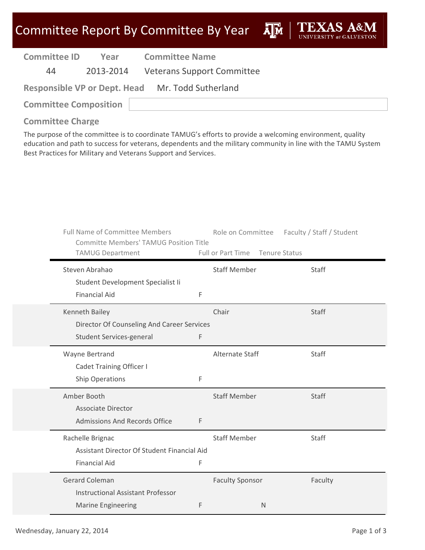## Committee Report By Committee By Year

**A**M

| <b>Committee ID</b> | Year      | Comr  |
|---------------------|-----------|-------|
| 44                  | 2013-2014 | Veter |

**Mittee Name** 

13-2014 Veterans Support Committee

**Responsible VP or Dept. Head** Mr. Todd Sutherland

**Committee Composition**

### **Committee Charge**

The purpose of the committee is to coordinate TAMUG's efforts to provide a welcoming environment, quality education and path to success for veterans, dependents and the military community in line with the TAMU System Best Practices for Military and Veterans Support and Services.

| <b>Full Name of Committee Members</b><br><b>Committe Members' TAMUG Position Title</b><br><b>TAMUG Department</b> |   | Role on Committee<br>Full or Part Time | Faculty / Staff / Student<br><b>Tenure Status</b> |
|-------------------------------------------------------------------------------------------------------------------|---|----------------------------------------|---------------------------------------------------|
| Steven Abrahao<br>Student Development Specialist Ii                                                               |   | <b>Staff Member</b>                    | Staff                                             |
| <b>Financial Aid</b>                                                                                              | F |                                        |                                                   |
| Kenneth Bailey<br>Director Of Counseling And Career Services<br>Student Services-general                          | F | Chair                                  | Staff                                             |
| Wayne Bertrand<br><b>Cadet Training Officer I</b><br><b>Ship Operations</b>                                       | F | Alternate Staff                        | <b>Staff</b>                                      |
| Amber Booth<br><b>Associate Director</b><br><b>Admissions And Records Office</b>                                  | F | <b>Staff Member</b>                    | Staff                                             |
| Rachelle Brignac<br>Assistant Director Of Student Financial Aid<br><b>Financial Aid</b>                           | F | <b>Staff Member</b>                    | <b>Staff</b>                                      |
| <b>Gerard Coleman</b><br><b>Instructional Assistant Professor</b><br><b>Marine Engineering</b>                    | F | <b>Faculty Sponsor</b><br>N            | Faculty                                           |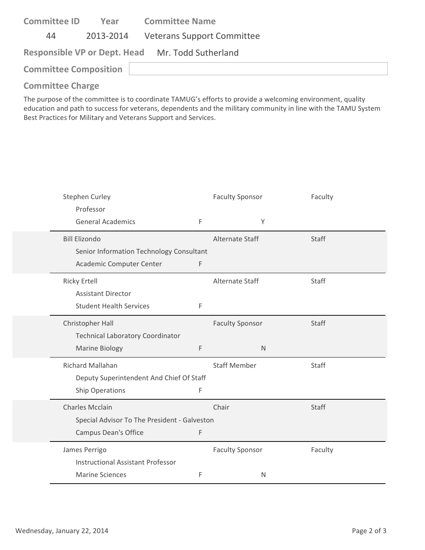| <b>Committee ID</b>          | Year      | <b>Committee Name</b>                            |  |
|------------------------------|-----------|--------------------------------------------------|--|
| 44                           | 2013-2014 | <b>Veterans Support Committee</b>                |  |
|                              |           | Responsible VP or Dept. Head Mr. Todd Sutherland |  |
| <b>Committee Composition</b> |           |                                                  |  |
|                              |           |                                                  |  |

#### **Committee Charge**

The purpose of the committee is to coordinate TAMUG's efforts to provide a welcoming environment, quality education and path to success for veterans, dependents and the military community in line with the TAMU System Best Practices for Military and Veterans Support and Services.

| <b>Stephen Curley</b>                        |   | <b>Faculty Sponsor</b> | Faculty      |
|----------------------------------------------|---|------------------------|--------------|
| Professor                                    |   |                        |              |
| <b>General Academics</b>                     | F | Υ                      |              |
| <b>Bill Elizondo</b>                         |   | Alternate Staff        | Staff        |
| Senior Information Technology Consultant     |   |                        |              |
| Academic Computer Center                     | F |                        |              |
| <b>Ricky Ertell</b>                          |   | Alternate Staff        | Staff        |
| <b>Assistant Director</b>                    |   |                        |              |
| <b>Student Health Services</b>               | F |                        |              |
| Christopher Hall                             |   | <b>Faculty Sponsor</b> | Staff        |
| <b>Technical Laboratory Coordinator</b>      |   |                        |              |
| Marine Biology                               | F | $\mathsf{N}$           |              |
| <b>Richard Mallahan</b>                      |   | <b>Staff Member</b>    | <b>Staff</b> |
| Deputy Superintendent And Chief Of Staff     |   |                        |              |
| <b>Ship Operations</b>                       | F |                        |              |
| <b>Charles Mcclain</b>                       |   | Chair                  | Staff        |
| Special Advisor To The President - Galveston |   |                        |              |
| <b>Campus Dean's Office</b>                  | F |                        |              |
| James Perrigo                                |   | <b>Faculty Sponsor</b> | Faculty      |
| <b>Instructional Assistant Professor</b>     |   |                        |              |
| <b>Marine Sciences</b>                       | F | N                      |              |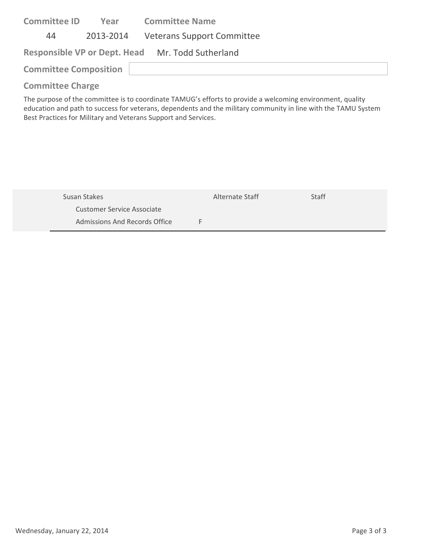| <b>Committee ID</b>          | Year      | <b>Committee Name</b>                            |
|------------------------------|-----------|--------------------------------------------------|
| 44                           | 2013-2014 | <b>Veterans Support Committee</b>                |
|                              |           | Responsible VP or Dept. Head Mr. Todd Sutherland |
| <b>Committee Composition</b> |           |                                                  |
| <b>Committee Charge</b>      |           |                                                  |

The purpose of the committee is to coordinate TAMUG's efforts to provide a welcoming environment, quality education and path to success for veterans, dependents and the military community in line with the TAMU System Best Practices for Military and Veterans Support and Services.

| Susan Stakes                  | Alternate Staff | Staff |  |
|-------------------------------|-----------------|-------|--|
| Customer Service Associate    |                 |       |  |
| Admissions And Records Office |                 |       |  |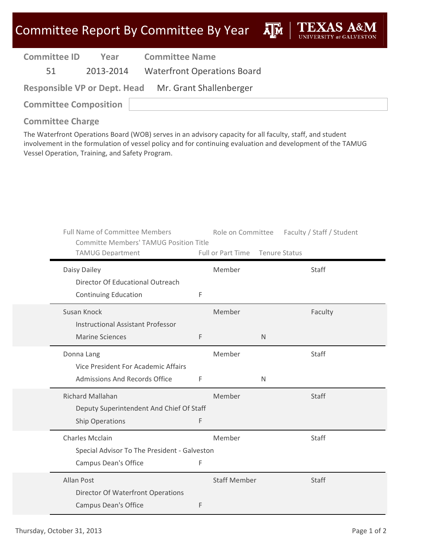# Committee Report By Committee By Year

**A**<sub>M</sub>

| <b>Committee ID</b> | Year      | <b>Committee Name</b>              |
|---------------------|-----------|------------------------------------|
| 51                  | 2013-2014 | <b>Waterfront Operations Board</b> |

**Responsible VP or Dept. Head** Mr. Grant Shallenberger

**Committee Composition**

#### **Committee Charge**

The Waterfront Operations Board (WOB) serves in an advisory capacity for all faculty, staff, and student involvement in the formulation of vessel policy and for continuing evaluation and development of the TAMUG Vessel Operation, Training, and Safety Program.

| <b>Full Name of Committee Members</b>        | <b>Committe Members' TAMUG Position Title</b> |                                 | Role on Committee | Faculty / Staff / Student |  |
|----------------------------------------------|-----------------------------------------------|---------------------------------|-------------------|---------------------------|--|
| <b>TAMUG Department</b>                      |                                               | Full or Part Time Tenure Status |                   |                           |  |
| Daisy Dailey                                 |                                               | Member                          |                   | Staff                     |  |
| Director Of Educational Outreach             |                                               |                                 |                   |                           |  |
| <b>Continuing Education</b>                  | F                                             |                                 |                   |                           |  |
| Susan Knock                                  |                                               | Member                          |                   | Faculty                   |  |
| <b>Instructional Assistant Professor</b>     |                                               |                                 |                   |                           |  |
| <b>Marine Sciences</b>                       | F                                             |                                 | $\mathsf{N}$      |                           |  |
| Donna Lang                                   |                                               | Member                          |                   | Staff                     |  |
| Vice President For Academic Affairs          |                                               |                                 |                   |                           |  |
| <b>Admissions And Records Office</b>         | F                                             |                                 | $\mathsf{N}$      |                           |  |
| Richard Mallahan                             |                                               | Member                          |                   | Staff                     |  |
| Deputy Superintendent And Chief Of Staff     |                                               |                                 |                   |                           |  |
| <b>Ship Operations</b>                       | F                                             |                                 |                   |                           |  |
| <b>Charles Mcclain</b>                       |                                               | Member                          |                   | Staff                     |  |
| Special Advisor To The President - Galveston |                                               |                                 |                   |                           |  |
| <b>Campus Dean's Office</b>                  | F                                             |                                 |                   |                           |  |
| <b>Allan Post</b>                            |                                               | <b>Staff Member</b>             |                   | Staff                     |  |
| <b>Director Of Waterfront Operations</b>     |                                               |                                 |                   |                           |  |
| <b>Campus Dean's Office</b>                  | F                                             |                                 |                   |                           |  |